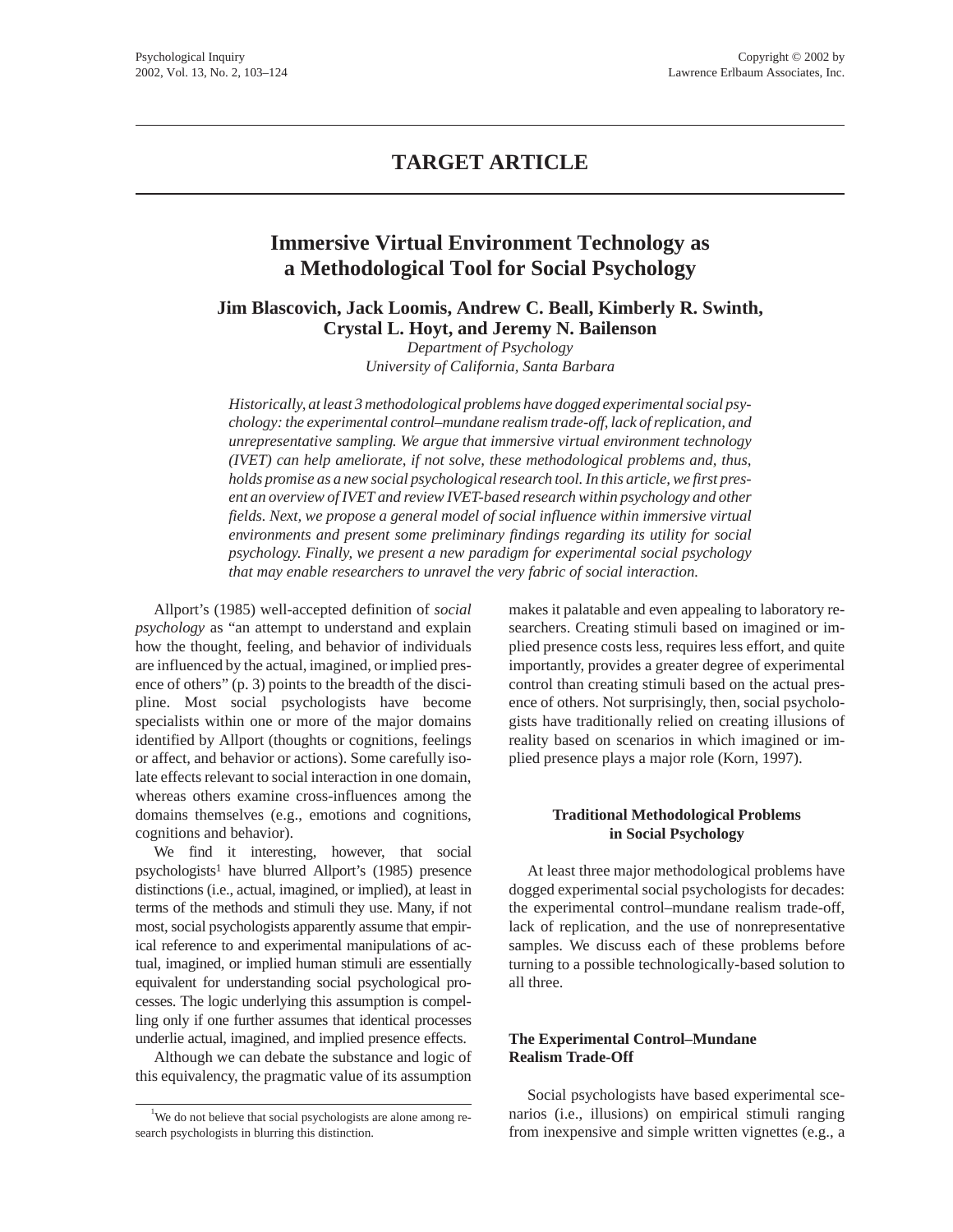# **TARGET ARTICLE**

# **Immersive Virtual Environment Technology as a Methodological Tool for Social Psychology**

**Jim Blascovich, Jack Loomis, Andrew C. Beall, Kimberly R. Swinth, Crystal L. Hoyt, and Jeremy N. Bailenson**

> *Department of Psychology University of California, Santa Barbara*

*Historically, at least 3 methodological problems have dogged experimental social psychology: the experimental control–mundane realism trade-off, lack of replication, and unrepresentative sampling. We argue that immersive virtual environment technology (IVET) can help ameliorate, if not solve, these methodological problems and, thus, holds promise as a new social psychological research tool. In this article, we first present an overview of IVET and review IVET-based research within psychology and other fields. Next, we propose a general model of social influence within immersive virtual environments and present some preliminary findings regarding its utility for social psychology. Finally, we present a new paradigm for experimental social psychology that may enable researchers to unravel the very fabric of social interaction.*

Allport's (1985) well-accepted definition of *social psychology* as "an attempt to understand and explain how the thought, feeling, and behavior of individuals are influenced by the actual, imagined, or implied presence of others" (p. 3) points to the breadth of the discipline. Most social psychologists have become specialists within one or more of the major domains identified by Allport (thoughts or cognitions, feelings or affect, and behavior or actions). Some carefully isolate effects relevant to social interaction in one domain, whereas others examine cross-influences among the domains themselves (e.g., emotions and cognitions, cognitions and behavior).

We find it interesting, however, that social psychologists1 have blurred Allport's (1985) presence distinctions (i.e., actual, imagined, or implied), at least in terms of the methods and stimuli they use. Many, if not most, social psychologists apparently assume that empirical reference to and experimental manipulations of actual, imagined, or implied human stimuli are essentially equivalent for understanding social psychological processes. The logic underlying this assumption is compelling only if one further assumes that identical processes underlie actual, imagined, and implied presence effects.

Although we can debate the substance and logic of this equivalency, the pragmatic value of its assumption makes it palatable and even appealing to laboratory researchers. Creating stimuli based on imagined or implied presence costs less, requires less effort, and quite importantly, provides a greater degree of experimental control than creating stimuli based on the actual presence of others. Not surprisingly, then, social psychologists have traditionally relied on creating illusions of reality based on scenarios in which imagined or implied presence plays a major role (Korn, 1997).

### **Traditional Methodological Problems in Social Psychology**

At least three major methodological problems have dogged experimental social psychologists for decades: the experimental control–mundane realism trade-off, lack of replication, and the use of nonrepresentative samples. We discuss each of these problems before turning to a possible technologically-based solution to all three.

# **The Experimental Control–Mundane Realism Trade-Off**

Social psychologists have based experimental scenarios (i.e., illusions) on empirical stimuli ranging from inexpensive and simple written vignettes (e.g., a

<sup>&</sup>lt;sup>1</sup>We do not believe that social psychologists are alone among research psychologists in blurring this distinction.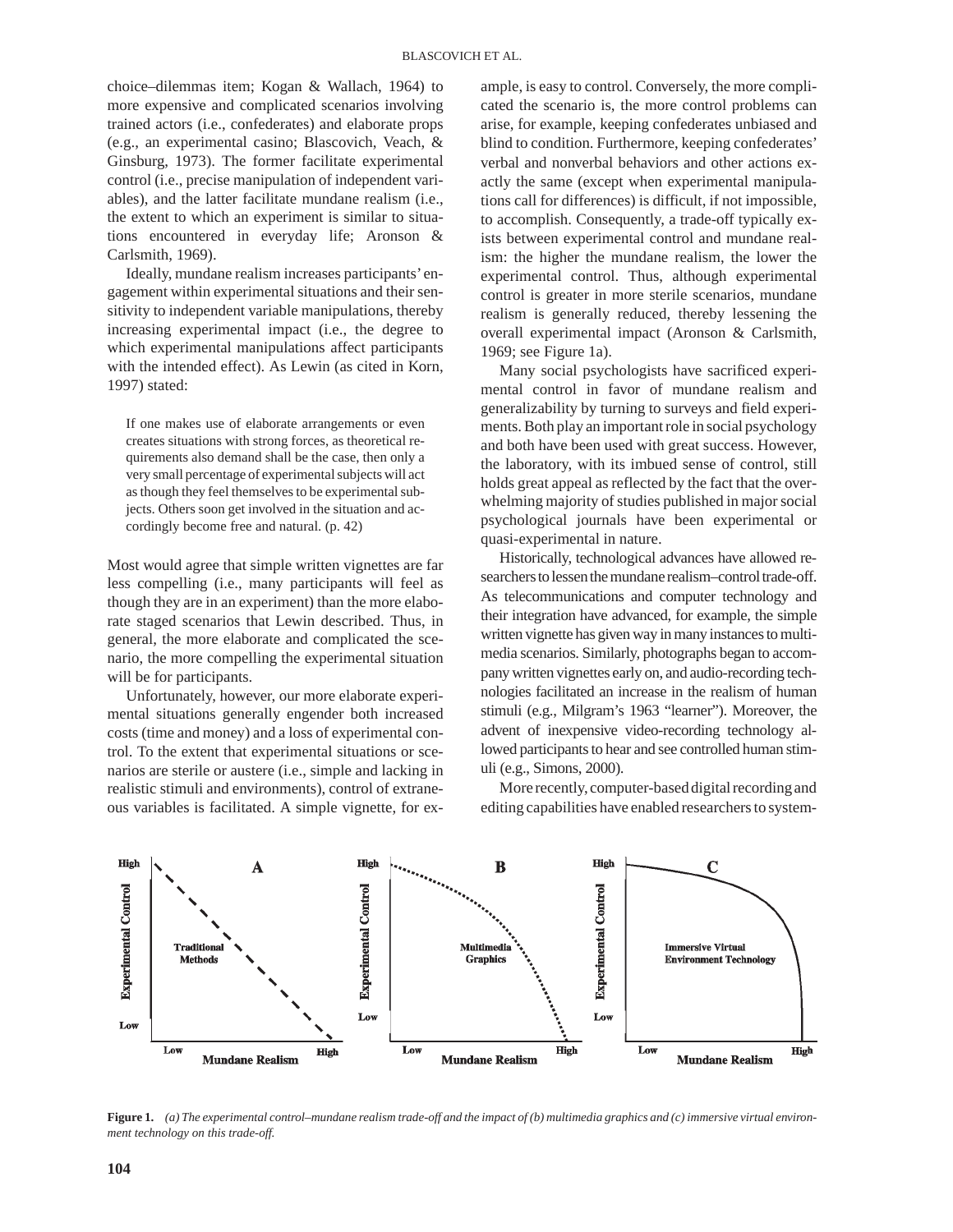choice–dilemmas item; Kogan & Wallach, 1964) to more expensive and complicated scenarios involving trained actors (i.e., confederates) and elaborate props (e.g., an experimental casino; Blascovich, Veach, & Ginsburg, 1973). The former facilitate experimental control (i.e., precise manipulation of independent variables), and the latter facilitate mundane realism (i.e., the extent to which an experiment is similar to situations encountered in everyday life; Aronson & Carlsmith, 1969).

Ideally, mundane realism increases participants'engagement within experimental situations and their sensitivity to independent variable manipulations, thereby increasing experimental impact (i.e., the degree to which experimental manipulations affect participants with the intended effect). As Lewin (as cited in Korn, 1997) stated:

If one makes use of elaborate arrangements or even creates situations with strong forces, as theoretical requirements also demand shall be the case, then only a very small percentage of experimental subjects will act as though they feel themselves to be experimental subjects. Others soon get involved in the situation and accordingly become free and natural. (p. 42)

Most would agree that simple written vignettes are far less compelling (i.e., many participants will feel as though they are in an experiment) than the more elaborate staged scenarios that Lewin described. Thus, in general, the more elaborate and complicated the scenario, the more compelling the experimental situation will be for participants.

Unfortunately, however, our more elaborate experimental situations generally engender both increased costs (time and money) and a loss of experimental control. To the extent that experimental situations or scenarios are sterile or austere (i.e., simple and lacking in realistic stimuli and environments), control of extraneous variables is facilitated. A simple vignette, for example, is easy to control. Conversely, the more complicated the scenario is, the more control problems can arise, for example, keeping confederates unbiased and blind to condition. Furthermore, keeping confederates' verbal and nonverbal behaviors and other actions exactly the same (except when experimental manipulations call for differences) is difficult, if not impossible, to accomplish. Consequently, a trade-off typically exists between experimental control and mundane realism: the higher the mundane realism, the lower the experimental control. Thus, although experimental control is greater in more sterile scenarios, mundane realism is generally reduced, thereby lessening the overall experimental impact (Aronson & Carlsmith, 1969; see Figure 1a).

Many social psychologists have sacrificed experimental control in favor of mundane realism and generalizability by turning to surveys and field experiments. Both play an important role in social psychology and both have been used with great success. However, the laboratory, with its imbued sense of control, still holds great appeal as reflected by the fact that the overwhelming majority of studies published in major social psychological journals have been experimental or quasi-experimental in nature.

Historically, technological advances have allowed researchers to lessen the mundane realism–control trade-off. As telecommunications and computer technology and their integration have advanced, for example, the simple written vignette has given way in many instances to multimedia scenarios. Similarly, photographs began to accompany written vignettes early on, and audio-recording technologies facilitated an increase in the realism of human stimuli (e.g., Milgram's 1963 "learner"). Moreover, the advent of inexpensive video-recording technology allowed participants to hear and see controlled human stimuli (e.g., Simons, 2000).

More recently, computer-based digital recording and editing capabilities have enabled researchers to system-



**Figure 1.** *(a) The experimental control–mundane realism trade-off and the impact of (b) multimedia graphics and (c) immersive virtual environment technology on this trade-off.*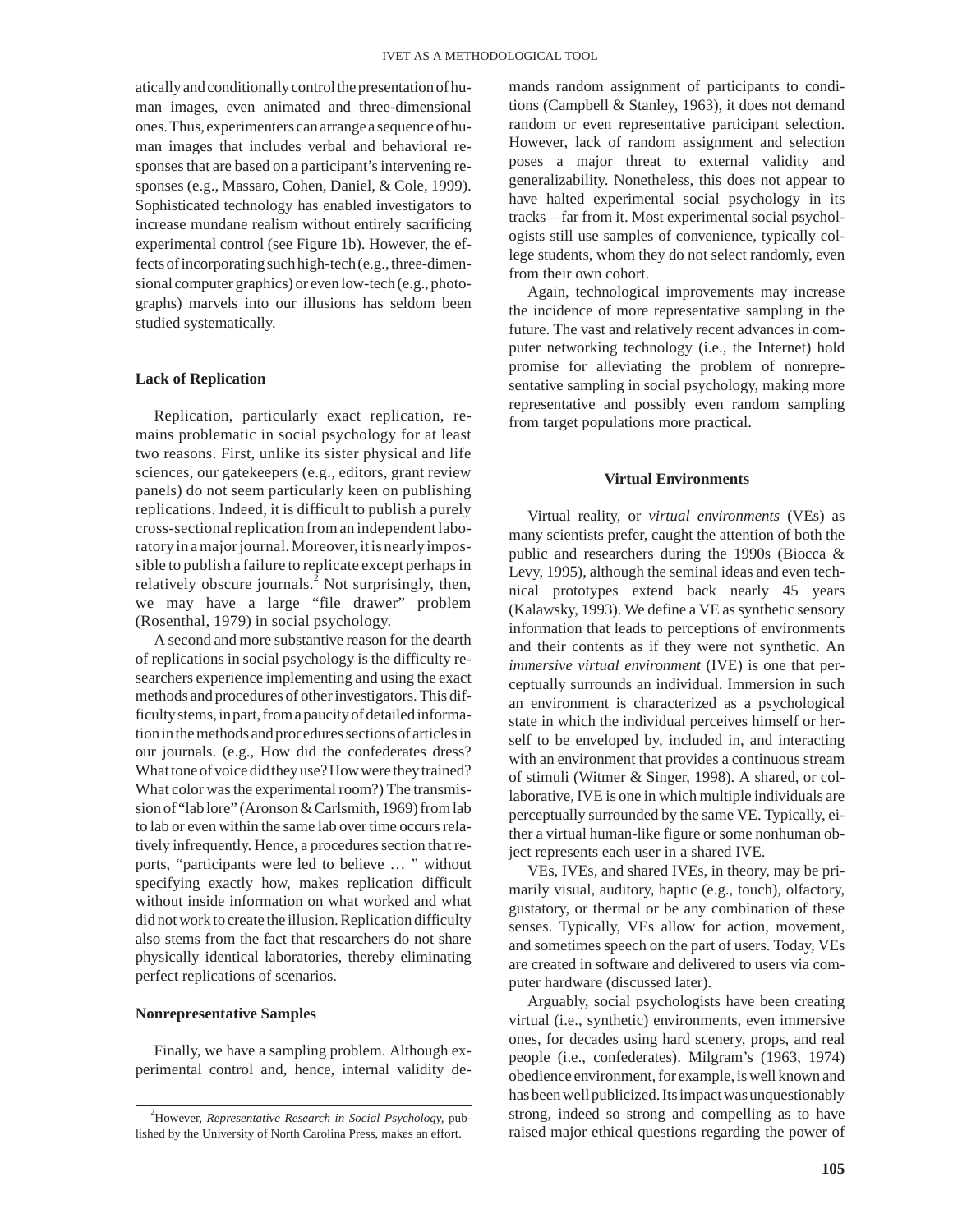aticallyandconditionallycontrolthepresentationofhuman images, even animated and three-dimensional ones.Thus,experimenterscanarrangeasequenceofhuman images that includes verbal and behavioral responses that are based on a participant's intervening responses (e.g., Massaro, Cohen, Daniel, & Cole, 1999). Sophisticated technology has enabled investigators to increase mundane realism without entirely sacrificing experimental control (see Figure 1b). However, the effects of incorporating such high-tech (e.g., three-dimensional computer graphics) or even low-tech (e.g., photographs) marvels into our illusions has seldom been studied systematically.

### **Lack of Replication**

Replication, particularly exact replication, remains problematic in social psychology for at least two reasons. First, unlike its sister physical and life sciences, our gatekeepers (e.g., editors, grant review panels) do not seem particularly keen on publishing replications. Indeed, it is difficult to publish a purely cross-sectional replication from an independent laboratory in a major journal. Moreover, it is nearly impossible to publish a failure to replicate except perhaps in relatively obscure journals.<sup>2</sup> Not surprisingly, then, we may have a large "file drawer" problem (Rosenthal, 1979) in social psychology.

A second and more substantive reason for the dearth of replications in social psychology is the difficulty researchers experience implementing and using the exact methods and procedures of other investigators. This difficulty stems, in part, from a paucity of detailed information in the methods and procedures sections of articles in our journals. (e.g., How did the confederates dress? What tone of voice did they use? How were they trained? What color was the experimental room?) The transmission of "lab lore" (Aronson & Carlsmith, 1969) from lab to lab or even within the same lab over time occurs relatively infrequently. Hence, a procedures section that reports, "participants were led to believe … " without specifying exactly how, makes replication difficult without inside information on what worked and what did not work to create the illusion. Replication difficulty also stems from the fact that researchers do not share physically identical laboratories, thereby eliminating perfect replications of scenarios.

#### **Nonrepresentative Samples**

Finally, we have a sampling problem. Although experimental control and, hence, internal validity demands random assignment of participants to conditions (Campbell & Stanley, 1963), it does not demand random or even representative participant selection. However, lack of random assignment and selection poses a major threat to external validity and generalizability. Nonetheless, this does not appear to have halted experimental social psychology in its tracks—far from it. Most experimental social psychologists still use samples of convenience, typically college students, whom they do not select randomly, even from their own cohort.

Again, technological improvements may increase the incidence of more representative sampling in the future. The vast and relatively recent advances in computer networking technology (i.e., the Internet) hold promise for alleviating the problem of nonrepresentative sampling in social psychology, making more representative and possibly even random sampling from target populations more practical.

### **Virtual Environments**

Virtual reality, or *virtual environments* (VEs) as many scientists prefer, caught the attention of both the public and researchers during the 1990s (Biocca & Levy, 1995), although the seminal ideas and even technical prototypes extend back nearly 45 years (Kalawsky, 1993). We define a VE as synthetic sensory information that leads to perceptions of environments and their contents as if they were not synthetic. An *immersive virtual environment* (IVE) is one that perceptually surrounds an individual. Immersion in such an environment is characterized as a psychological state in which the individual perceives himself or herself to be enveloped by, included in, and interacting with an environment that provides a continuous stream of stimuli (Witmer & Singer, 1998). A shared, or collaborative, IVE is one in which multiple individuals are perceptually surrounded by the same VE. Typically, either a virtual human-like figure or some nonhuman object represents each user in a shared IVE.

VEs, IVEs, and shared IVEs, in theory, may be primarily visual, auditory, haptic (e.g., touch), olfactory, gustatory, or thermal or be any combination of these senses. Typically, VEs allow for action, movement, and sometimes speech on the part of users. Today, VEs are created in software and delivered to users via computer hardware (discussed later).

Arguably, social psychologists have been creating virtual (i.e., synthetic) environments, even immersive ones, for decades using hard scenery, props, and real people (i.e., confederates). Milgram's (1963, 1974) obedience environment, for example, is well known and has been well publicized. Its impact was unquestionably strong, indeed so strong and compelling as to have raised major ethical questions regarding the power of

<sup>2</sup> However, *Representative Research in Social Psychology,* published by the University of North Carolina Press, makes an effort.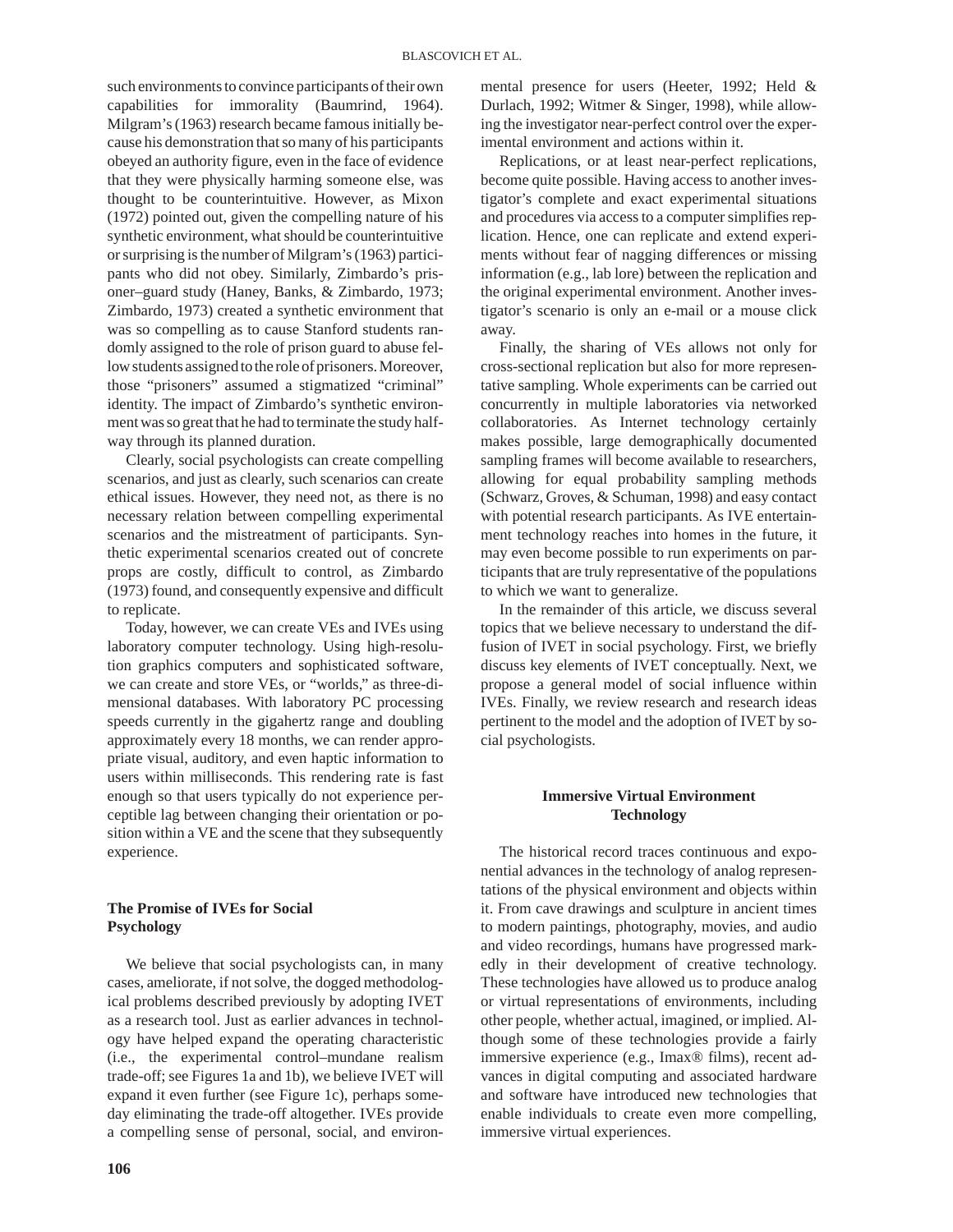such environments to convince participants of their own capabilities for immorality (Baumrind, 1964). Milgram's (1963) research became famous initially because his demonstration that so many of his participants obeyed an authority figure, even in the face of evidence that they were physically harming someone else, was thought to be counterintuitive. However, as Mixon (1972) pointed out, given the compelling nature of his synthetic environment, what should be counterintuitive or surprising is the number of Milgram's (1963) participants who did not obey. Similarly, Zimbardo's prisoner–guard study (Haney, Banks, & Zimbardo, 1973; Zimbardo, 1973) created a synthetic environment that was so compelling as to cause Stanford students randomly assigned to the role of prison guard to abuse fellow students assigned to the role of prisoners. Moreover, those "prisoners" assumed a stigmatized "criminal" identity. The impact of Zimbardo's synthetic environment was so great that he had to terminate the study halfway through its planned duration.

Clearly, social psychologists can create compelling scenarios, and just as clearly, such scenarios can create ethical issues. However, they need not, as there is no necessary relation between compelling experimental scenarios and the mistreatment of participants. Synthetic experimental scenarios created out of concrete props are costly, difficult to control, as Zimbardo (1973) found, and consequently expensive and difficult to replicate.

Today, however, we can create VEs and IVEs using laboratory computer technology. Using high-resolution graphics computers and sophisticated software, we can create and store VEs, or "worlds," as three-dimensional databases. With laboratory PC processing speeds currently in the gigahertz range and doubling approximately every 18 months, we can render appropriate visual, auditory, and even haptic information to users within milliseconds. This rendering rate is fast enough so that users typically do not experience perceptible lag between changing their orientation or position within a VE and the scene that they subsequently experience.

# **The Promise of IVEs for Social Psychology**

We believe that social psychologists can, in many cases, ameliorate, if not solve, the dogged methodological problems described previously by adopting IVET as a research tool. Just as earlier advances in technology have helped expand the operating characteristic (i.e., the experimental control–mundane realism trade-off; see Figures 1a and 1b), we believe IVET will expand it even further (see Figure 1c), perhaps someday eliminating the trade-off altogether. IVEs provide a compelling sense of personal, social, and environmental presence for users (Heeter, 1992; Held & Durlach, 1992; Witmer & Singer, 1998), while allowing the investigator near-perfect control over the experimental environment and actions within it.

Replications, or at least near-perfect replications, become quite possible. Having access to another investigator's complete and exact experimental situations and procedures via access to a computer simplifies replication. Hence, one can replicate and extend experiments without fear of nagging differences or missing information (e.g., lab lore) between the replication and the original experimental environment. Another investigator's scenario is only an e-mail or a mouse click away.

Finally, the sharing of VEs allows not only for cross-sectional replication but also for more representative sampling. Whole experiments can be carried out concurrently in multiple laboratories via networked collaboratories. As Internet technology certainly makes possible, large demographically documented sampling frames will become available to researchers, allowing for equal probability sampling methods (Schwarz, Groves, & Schuman, 1998) and easy contact with potential research participants. As IVE entertainment technology reaches into homes in the future, it may even become possible to run experiments on participants that are truly representative of the populations to which we want to generalize.

In the remainder of this article, we discuss several topics that we believe necessary to understand the diffusion of IVET in social psychology. First, we briefly discuss key elements of IVET conceptually. Next, we propose a general model of social influence within IVEs. Finally, we review research and research ideas pertinent to the model and the adoption of IVET by social psychologists.

# **Immersive Virtual Environment Technology**

The historical record traces continuous and exponential advances in the technology of analog representations of the physical environment and objects within it. From cave drawings and sculpture in ancient times to modern paintings, photography, movies, and audio and video recordings, humans have progressed markedly in their development of creative technology. These technologies have allowed us to produce analog or virtual representations of environments, including other people, whether actual, imagined, or implied. Although some of these technologies provide a fairly immersive experience (e.g., Imax® films), recent advances in digital computing and associated hardware and software have introduced new technologies that enable individuals to create even more compelling, immersive virtual experiences.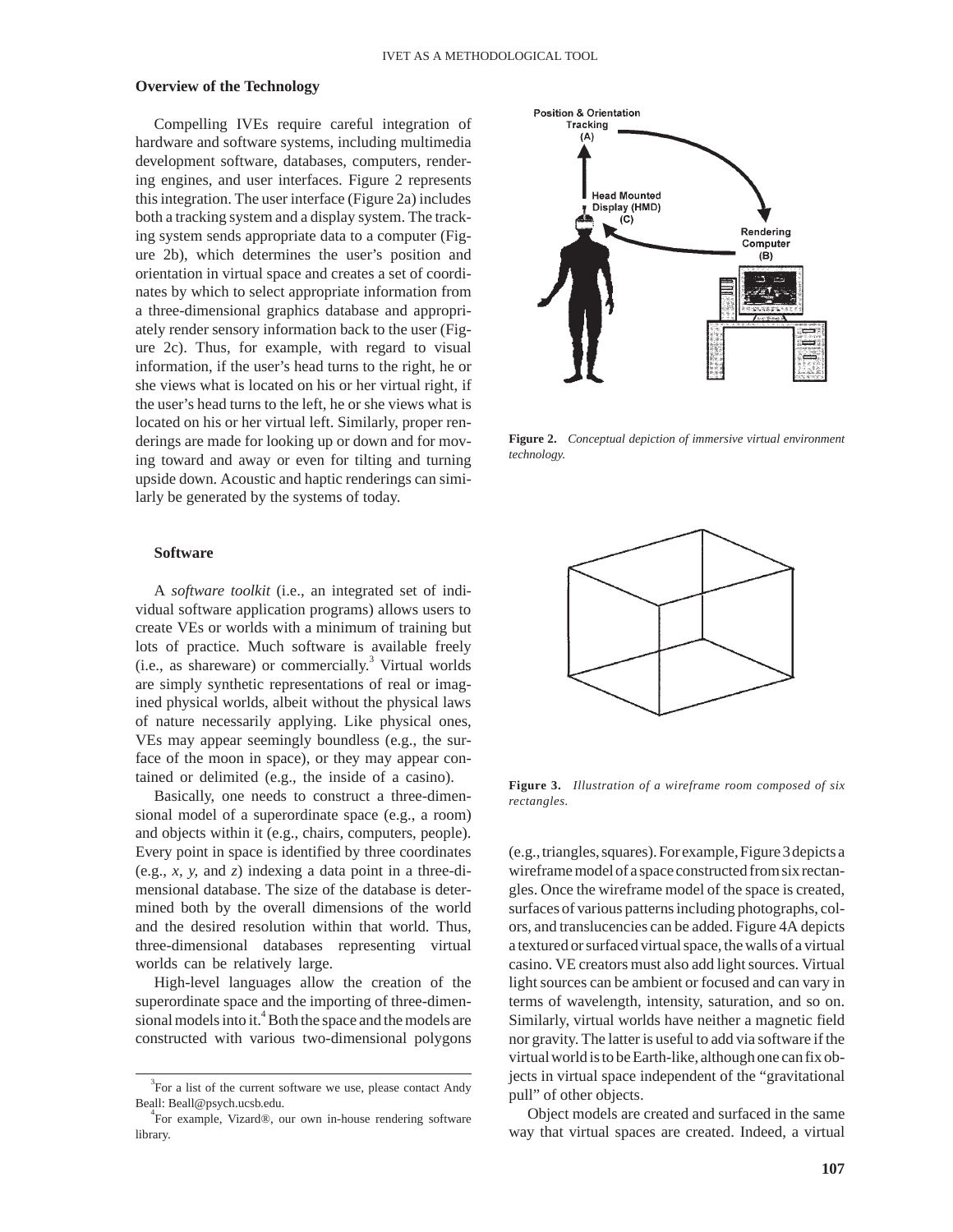### **Overview of the Technology**

Compelling IVEs require careful integration of hardware and software systems, including multimedia development software, databases, computers, rendering engines, and user interfaces. Figure 2 represents this integration. The user interface (Figure 2a) includes both a tracking system and a display system. The tracking system sends appropriate data to a computer (Figure 2b), which determines the user's position and orientation in virtual space and creates a set of coordinates by which to select appropriate information from a three-dimensional graphics database and appropriately render sensory information back to the user (Figure 2c). Thus, for example, with regard to visual information, if the user's head turns to the right, he or she views what is located on his or her virtual right, if the user's head turns to the left, he or she views what is located on his or her virtual left. Similarly, proper renderings are made for looking up or down and for moving toward and away or even for tilting and turning upside down. Acoustic and haptic renderings can similarly be generated by the systems of today.

#### **Software**

A *software toolkit* (i.e., an integrated set of individual software application programs) allows users to create VEs or worlds with a minimum of training but lots of practice. Much software is available freely  $(i.e., as shareware)$  or commercially.<sup>3</sup> Virtual worlds are simply synthetic representations of real or imagined physical worlds, albeit without the physical laws of nature necessarily applying. Like physical ones, VEs may appear seemingly boundless (e.g., the surface of the moon in space), or they may appear contained or delimited (e.g., the inside of a casino).

Basically, one needs to construct a three-dimensional model of a superordinate space (e.g., a room) and objects within it (e.g., chairs, computers, people). Every point in space is identified by three coordinates (e.g., *x, y,* and *z*) indexing a data point in a three-dimensional database. The size of the database is determined both by the overall dimensions of the world and the desired resolution within that world. Thus, three-dimensional databases representing virtual worlds can be relatively large.

High-level languages allow the creation of the superordinate space and the importing of three-dimensional models into it.<sup>4</sup> Both the space and the models are constructed with various two-dimensional polygons



**Figure 2.** *Conceptual depiction of immersive virtual environment technology.*



**Figure 3.** *Illustration of a wireframe room composed of six rectangles.*

(e.g.,triangles,squares).Forexample,Figure3depictsa wireframe model of aspace constructed from six rectangles. Once the wireframe model of the space is created, surfaces of various patterns including photographs, colors, and translucencies can be added. Figure 4A depicts a textured or surfaced virtual space, the walls of a virtual casino. VE creators must also add light sources. Virtual light sources can be ambient or focused and can vary in terms of wavelength, intensity, saturation, and so on. Similarly, virtual worlds have neither a magnetic field nor gravity. The latter is useful to add via software if the virtual world is to be Earth-like, although one can fix objects in virtual space independent of the "gravitational pull" of other objects.

Object models are created and surfaced in the same way that virtual spaces are created. Indeed, a virtual

 $3$ For a list of the current software we use, please contact Andy Beall: Beall@psych.ucsb.edu. <sup>4</sup>

For example, Vizard®, our own in-house rendering software library.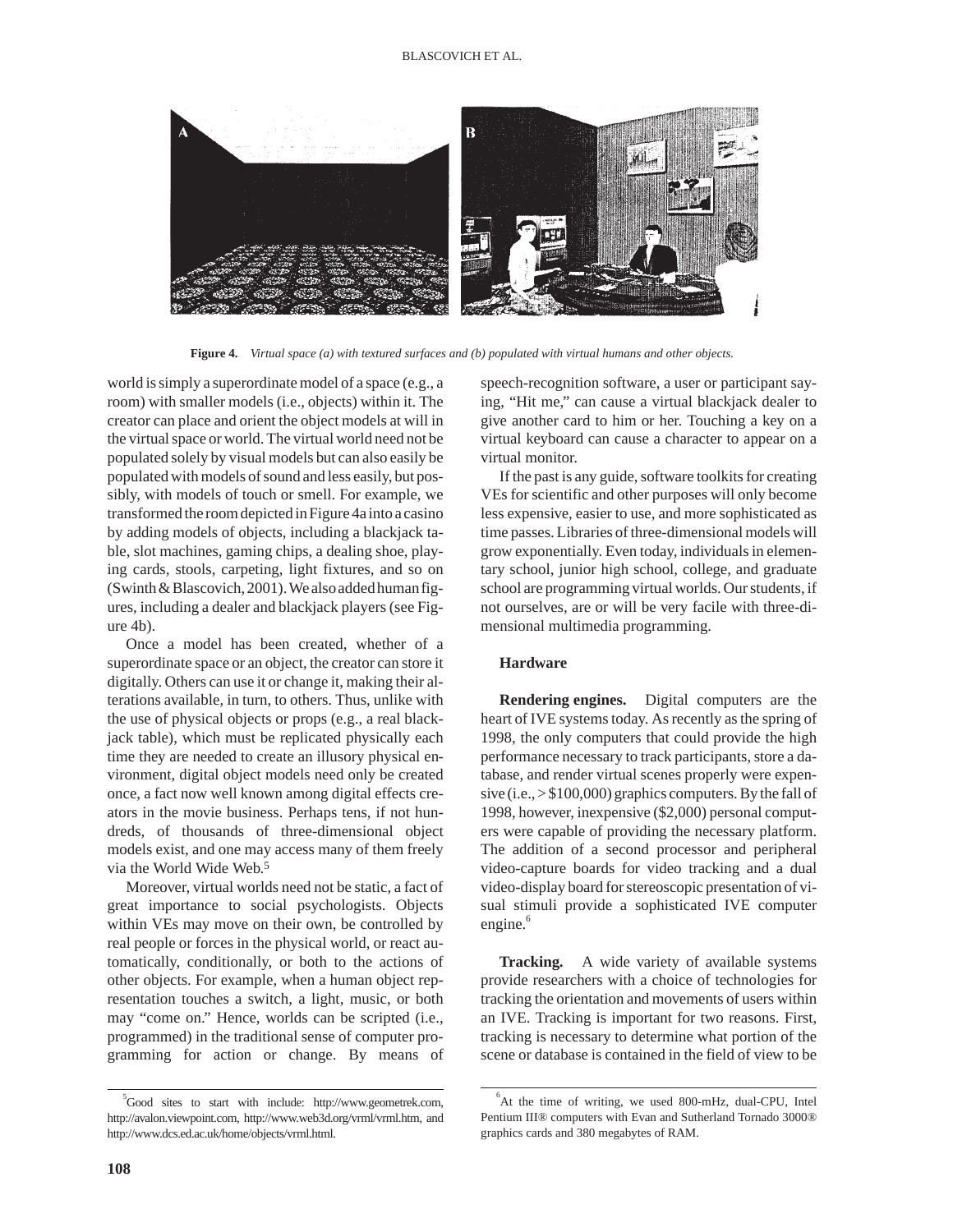

**Figure 4.** *Virtual space (a) with textured surfaces and (b) populated with virtual humans and other objects.*

world is simply a superordinate model of a space (e.g., a room) with smaller models (i.e., objects) within it. The creator can place and orient the object models at will in the virtual space or world. The virtual world need not be populated solely by visual models but can also easily be populated with models of sound and less easily, but possibly, with models of touch or smell. For example, we transformed the room depicted in Figure 4a into a casino by adding models of objects, including a blackjack table, slot machines, gaming chips, a dealing shoe, playing cards, stools, carpeting, light fixtures, and so on (Swinth & Blascovich, 2001). We also added human figures, including a dealer and blackjack players (see Figure 4b).

Once a model has been created, whether of a superordinate space or an object, the creator can store it digitally. Others can use it or change it, making their alterations available, in turn, to others. Thus, unlike with the use of physical objects or props (e.g., a real blackjack table), which must be replicated physically each time they are needed to create an illusory physical environment, digital object models need only be created once, a fact now well known among digital effects creators in the movie business. Perhaps tens, if not hundreds, of thousands of three-dimensional object models exist, and one may access many of them freely via the World Wide Web.5

Moreover, virtual worlds need not be static, a fact of great importance to social psychologists. Objects within VEs may move on their own, be controlled by real people or forces in the physical world, or react automatically, conditionally, or both to the actions of other objects. For example, when a human object representation touches a switch, a light, music, or both may "come on." Hence, worlds can be scripted (i.e., programmed) in the traditional sense of computer programming for action or change. By means of

speech-recognition software, a user or participant saying, "Hit me," can cause a virtual blackjack dealer to give another card to him or her. Touching a key on a virtual keyboard can cause a character to appear on a virtual monitor.

If the past is any guide, software toolkits for creating VEs for scientific and other purposes will only become less expensive, easier to use, and more sophisticated as time passes. Libraries of three-dimensional models will grow exponentially. Even today, individuals in elementary school, junior high school, college, and graduate school are programming virtual worlds. Our students, if not ourselves, are or will be very facile with three-dimensional multimedia programming.

#### **Hardware**

**Rendering engines.** Digital computers are the heart of IVE systems today. As recently as the spring of 1998, the only computers that could provide the high performance necessary to track participants, store a database, and render virtual scenes properly were expensive (i.e., > \$100,000) graphics computers. By the fall of 1998, however, inexpensive (\$2,000) personal computers were capable of providing the necessary platform. The addition of a second processor and peripheral video-capture boards for video tracking and a dual video-display board for stereoscopic presentation of visual stimuli provide a sophisticated IVE computer engine.<sup>6</sup>

**Tracking.** A wide variety of available systems provide researchers with a choice of technologies for tracking the orientation and movements of users within an IVE. Tracking is important for two reasons. First, tracking is necessary to determine what portion of the scene or database is contained in the field of view to be

<sup>&</sup>lt;sup>5</sup>Good sites to start with include: http://www.geometrek.com, http://avalon.viewpoint.com, http://www.web3d.org/vrml/vrml.htm, and http://www.dcs.ed.ac.uk/home/objects/vrml.html.

<sup>6</sup> At the time of writing, we used 800-mHz, dual-CPU, Intel Pentium III® computers with Evan and Sutherland Tornado 3000® graphics cards and 380 megabytes of RAM.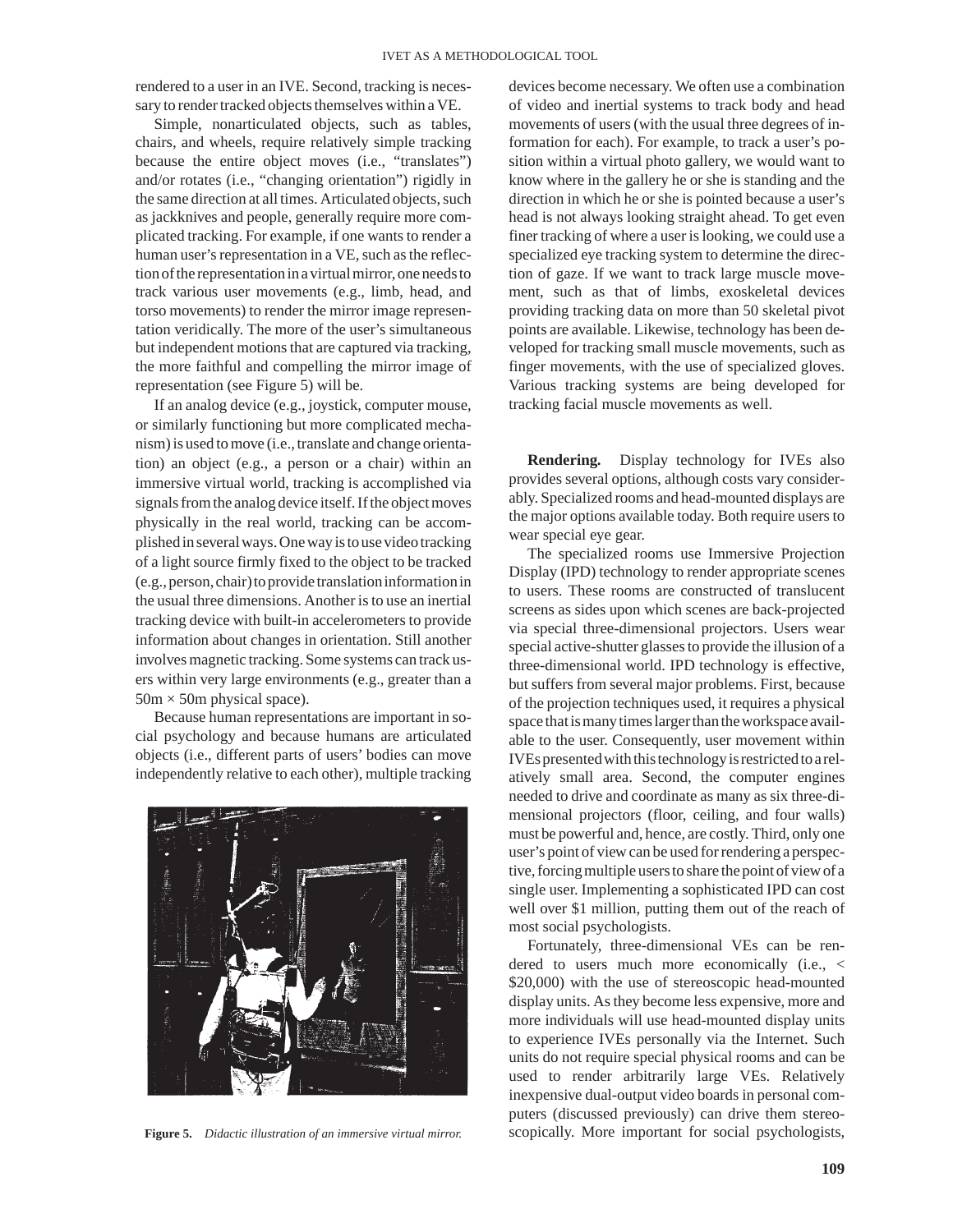rendered to a user in an IVE. Second, tracking is necessary to render tracked objects themselves within a VE.

Simple, nonarticulated objects, such as tables, chairs, and wheels, require relatively simple tracking because the entire object moves (i.e., "translates") and/or rotates (i.e., "changing orientation") rigidly in the same direction at all times. Articulated objects, such as jackknives and people, generally require more complicated tracking. For example, if one wants to render a human user's representation in a VE, such as the reflection of the representation in a virtual mirror, one needs to track various user movements (e.g., limb, head, and torso movements) to render the mirror image representation veridically. The more of the user's simultaneous but independent motions that are captured via tracking, the more faithful and compelling the mirror image of representation (see Figure 5) will be.

If an analog device (e.g., joystick, computer mouse, or similarly functioning but more complicated mechanism) is used to move (i.e., translate and change orientation) an object (e.g., a person or a chair) within an immersive virtual world, tracking is accomplished via signals from the analog device itself. If the object moves physically in the real world, tracking can be accomplished in several ways. One way is to use video tracking of a light source firmly fixed to the object to be tracked (e.g.,person,chair)toprovidetranslationinformationin the usual three dimensions. Another is to use an inertial tracking device with built-in accelerometers to provide information about changes in orientation. Still another involves magnetic tracking. Some systems can track users within very large environments (e.g., greater than a  $50m \times 50m$  physical space).

Because human representations are important in social psychology and because humans are articulated objects (i.e., different parts of users' bodies can move independently relative to each other), multiple tracking



**Figure 5.** *Didactic illustration of an immersive virtual mirror.*

devices become necessary. We often use a combination of video and inertial systems to track body and head movements of users (with the usual three degrees of information for each). For example, to track a user's position within a virtual photo gallery, we would want to know where in the gallery he or she is standing and the direction in which he or she is pointed because a user's head is not always looking straight ahead. To get even finer tracking of where a user is looking, we could use a specialized eye tracking system to determine the direction of gaze. If we want to track large muscle movement, such as that of limbs, exoskeletal devices providing tracking data on more than 50 skeletal pivot points are available. Likewise, technology has been developed for tracking small muscle movements, such as finger movements, with the use of specialized gloves. Various tracking systems are being developed for tracking facial muscle movements as well.

**Rendering.** Display technology for IVEs also provides several options, although costs vary considerably. Specialized rooms and head-mounted displays are the major options available today. Both require users to wear special eye gear.

The specialized rooms use Immersive Projection Display (IPD) technology to render appropriate scenes to users. These rooms are constructed of translucent screens as sides upon which scenes are back-projected via special three-dimensional projectors. Users wear special active-shutter glasses to provide the illusion of a three-dimensional world. IPD technology is effective, but suffers from several major problems. First, because of the projection techniques used, it requires a physical spacethatismanytimeslargerthantheworkspaceavailable to the user. Consequently, user movement within IVEs presented with this technology is restricted to a relatively small area. Second, the computer engines needed to drive and coordinate as many as six three-dimensional projectors (floor, ceiling, and four walls) must be powerful and, hence, are costly. Third, only one user's point of view can be used for rendering a perspective, forcing multiple users to share the point of view of a single user. Implementing a sophisticated IPD can cost well over \$1 million, putting them out of the reach of most social psychologists.

Fortunately, three-dimensional VEs can be rendered to users much more economically (i.e., < \$20,000) with the use of stereoscopic head-mounted display units. As they become less expensive, more and more individuals will use head-mounted display units to experience IVEs personally via the Internet. Such units do not require special physical rooms and can be used to render arbitrarily large VEs. Relatively inexpensive dual-output video boards in personal computers (discussed previously) can drive them stereoscopically. More important for social psychologists,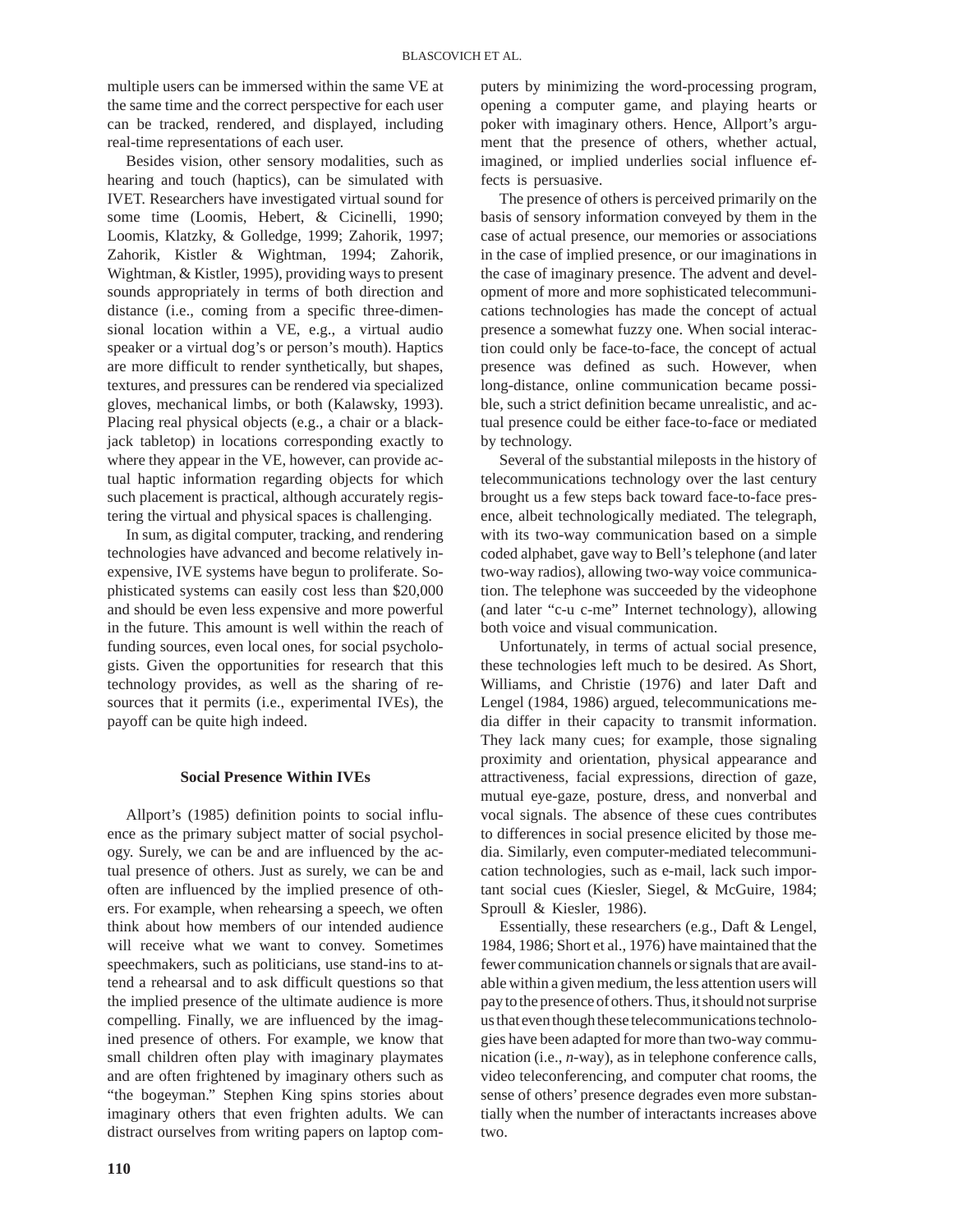multiple users can be immersed within the same VE at the same time and the correct perspective for each user can be tracked, rendered, and displayed, including real-time representations of each user.

Besides vision, other sensory modalities, such as hearing and touch (haptics), can be simulated with IVET. Researchers have investigated virtual sound for some time (Loomis, Hebert, & Cicinelli, 1990; Loomis, Klatzky, & Golledge, 1999; Zahorik, 1997; Zahorik, Kistler & Wightman, 1994; Zahorik, Wightman, & Kistler, 1995), providing ways to present sounds appropriately in terms of both direction and distance (i.e., coming from a specific three-dimensional location within a VE, e.g., a virtual audio speaker or a virtual dog's or person's mouth). Haptics are more difficult to render synthetically, but shapes, textures, and pressures can be rendered via specialized gloves, mechanical limbs, or both (Kalawsky, 1993). Placing real physical objects (e.g., a chair or a blackjack tabletop) in locations corresponding exactly to where they appear in the VE, however, can provide actual haptic information regarding objects for which such placement is practical, although accurately registering the virtual and physical spaces is challenging.

In sum, as digital computer, tracking, and rendering technologies have advanced and become relatively inexpensive, IVE systems have begun to proliferate. Sophisticated systems can easily cost less than \$20,000 and should be even less expensive and more powerful in the future. This amount is well within the reach of funding sources, even local ones, for social psychologists. Given the opportunities for research that this technology provides, as well as the sharing of resources that it permits (i.e., experimental IVEs), the payoff can be quite high indeed.

### **Social Presence Within IVEs**

Allport's (1985) definition points to social influence as the primary subject matter of social psychology. Surely, we can be and are influenced by the actual presence of others. Just as surely, we can be and often are influenced by the implied presence of others. For example, when rehearsing a speech, we often think about how members of our intended audience will receive what we want to convey. Sometimes speechmakers, such as politicians, use stand-ins to attend a rehearsal and to ask difficult questions so that the implied presence of the ultimate audience is more compelling. Finally, we are influenced by the imagined presence of others. For example, we know that small children often play with imaginary playmates and are often frightened by imaginary others such as "the bogeyman." Stephen King spins stories about imaginary others that even frighten adults. We can distract ourselves from writing papers on laptop computers by minimizing the word-processing program, opening a computer game, and playing hearts or poker with imaginary others. Hence, Allport's argument that the presence of others, whether actual, imagined, or implied underlies social influence effects is persuasive.

The presence of others is perceived primarily on the basis of sensory information conveyed by them in the case of actual presence, our memories or associations in the case of implied presence, or our imaginations in the case of imaginary presence. The advent and development of more and more sophisticated telecommunications technologies has made the concept of actual presence a somewhat fuzzy one. When social interaction could only be face-to-face, the concept of actual presence was defined as such. However, when long-distance, online communication became possible, such a strict definition became unrealistic, and actual presence could be either face-to-face or mediated by technology.

Several of the substantial mileposts in the history of telecommunications technology over the last century brought us a few steps back toward face-to-face presence, albeit technologically mediated. The telegraph, with its two-way communication based on a simple coded alphabet, gave way to Bell's telephone (and later two-way radios), allowing two-way voice communication. The telephone was succeeded by the videophone (and later "c-u c-me" Internet technology), allowing both voice and visual communication.

Unfortunately, in terms of actual social presence, these technologies left much to be desired. As Short, Williams, and Christie (1976) and later Daft and Lengel (1984, 1986) argued, telecommunications media differ in their capacity to transmit information. They lack many cues; for example, those signaling proximity and orientation, physical appearance and attractiveness, facial expressions, direction of gaze, mutual eye-gaze, posture, dress, and nonverbal and vocal signals. The absence of these cues contributes to differences in social presence elicited by those media. Similarly, even computer-mediated telecommunication technologies, such as e-mail, lack such important social cues (Kiesler, Siegel, & McGuire, 1984; Sproull & Kiesler, 1986).

Essentially, these researchers (e.g., Daft & Lengel, 1984, 1986; Short et al., 1976) have maintained that the fewer communication channels or signals that are available within a given medium, the less attention users will pay to the presence of others. Thus, it should not surprise usthateventhoughthesetelecommunicationstechnologies have been adapted for more than two-way communication (i.e., *n*-way), as in telephone conference calls, video teleconferencing, and computer chat rooms, the sense of others' presence degrades even more substantially when the number of interactants increases above two.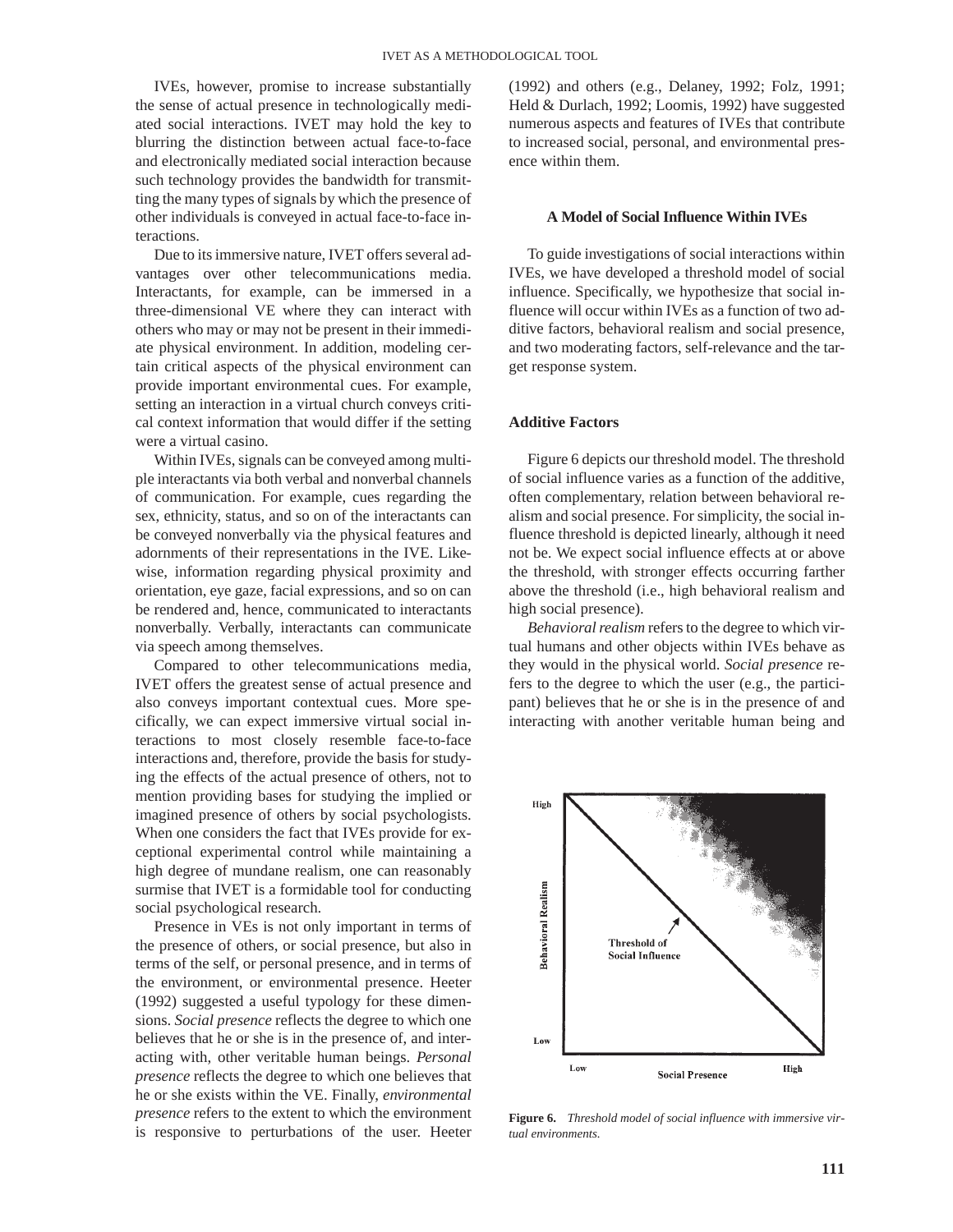IVEs, however, promise to increase substantially the sense of actual presence in technologically mediated social interactions. IVET may hold the key to blurring the distinction between actual face-to-face and electronically mediated social interaction because such technology provides the bandwidth for transmitting the many types of signals by which the presence of other individuals is conveyed in actual face-to-face interactions.

Due to its immersive nature, IVET offers several advantages over other telecommunications media. Interactants, for example, can be immersed in a three-dimensional VE where they can interact with others who may or may not be present in their immediate physical environment. In addition, modeling certain critical aspects of the physical environment can provide important environmental cues. For example, setting an interaction in a virtual church conveys critical context information that would differ if the setting were a virtual casino.

Within IVEs, signals can be conveyed among multiple interactants via both verbal and nonverbal channels of communication. For example, cues regarding the sex, ethnicity, status, and so on of the interactants can be conveyed nonverbally via the physical features and adornments of their representations in the IVE. Likewise, information regarding physical proximity and orientation, eye gaze, facial expressions, and so on can be rendered and, hence, communicated to interactants nonverbally. Verbally, interactants can communicate via speech among themselves.

Compared to other telecommunications media, IVET offers the greatest sense of actual presence and also conveys important contextual cues. More specifically, we can expect immersive virtual social interactions to most closely resemble face-to-face interactions and, therefore, provide the basis for studying the effects of the actual presence of others, not to mention providing bases for studying the implied or imagined presence of others by social psychologists. When one considers the fact that IVEs provide for exceptional experimental control while maintaining a high degree of mundane realism, one can reasonably surmise that IVET is a formidable tool for conducting social psychological research.

Presence in VEs is not only important in terms of the presence of others, or social presence, but also in terms of the self, or personal presence, and in terms of the environment, or environmental presence. Heeter (1992) suggested a useful typology for these dimensions. *Social presence* reflects the degree to which one believes that he or she is in the presence of, and interacting with, other veritable human beings. *Personal presence* reflects the degree to which one believes that he or she exists within the VE. Finally, *environmental presence* refers to the extent to which the environment is responsive to perturbations of the user. Heeter (1992) and others (e.g., Delaney, 1992; Folz, 1991; Held & Durlach, 1992; Loomis, 1992) have suggested numerous aspects and features of IVEs that contribute to increased social, personal, and environmental presence within them.

#### **A Model of Social Influence Within IVEs**

To guide investigations of social interactions within IVEs, we have developed a threshold model of social influence. Specifically, we hypothesize that social influence will occur within IVEs as a function of two additive factors, behavioral realism and social presence, and two moderating factors, self-relevance and the target response system.

#### **Additive Factors**

Figure 6 depicts our threshold model. The threshold of social influence varies as a function of the additive, often complementary, relation between behavioral realism and social presence. For simplicity, the social influence threshold is depicted linearly, although it need not be. We expect social influence effects at or above the threshold, with stronger effects occurring farther above the threshold (i.e., high behavioral realism and high social presence).

*Behavioral realism* refers to the degree to which virtual humans and other objects within IVEs behave as they would in the physical world. *Social presence* refers to the degree to which the user (e.g., the participant) believes that he or she is in the presence of and interacting with another veritable human being and



**Figure 6.** *Threshold model of social influence with immersive virtual environments.*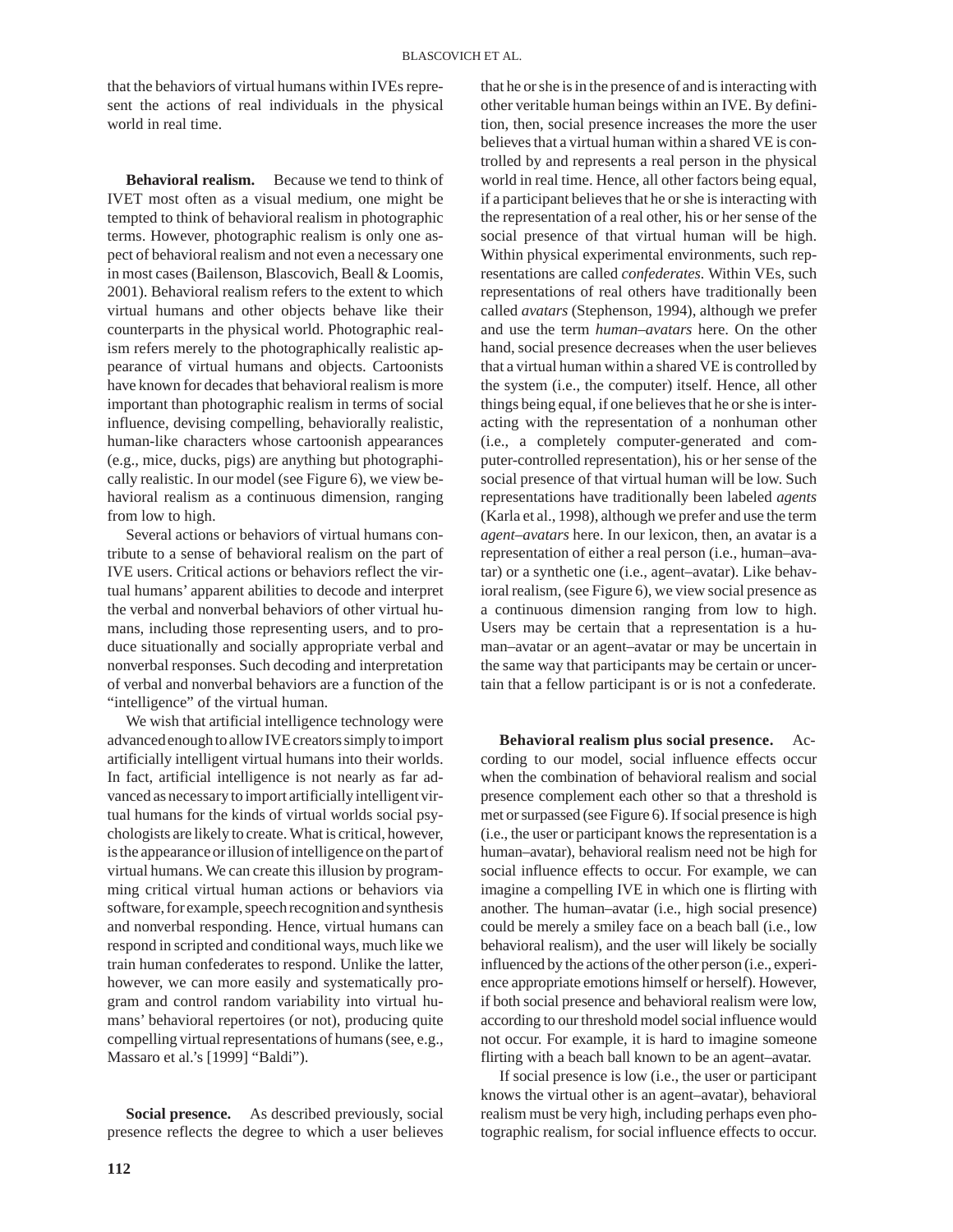that the behaviors of virtual humans within IVEs represent the actions of real individuals in the physical world in real time.

**Behavioral realism.** Because we tend to think of IVET most often as a visual medium, one might be tempted to think of behavioral realism in photographic terms. However, photographic realism is only one aspect of behavioral realism and not even a necessary one in most cases (Bailenson, Blascovich, Beall & Loomis, 2001). Behavioral realism refers to the extent to which virtual humans and other objects behave like their counterparts in the physical world. Photographic realism refers merely to the photographically realistic appearance of virtual humans and objects. Cartoonists have known for decades that behavioral realism is more important than photographic realism in terms of social influence, devising compelling, behaviorally realistic, human-like characters whose cartoonish appearances (e.g., mice, ducks, pigs) are anything but photographically realistic. In our model (see Figure 6), we view behavioral realism as a continuous dimension, ranging from low to high.

Several actions or behaviors of virtual humans contribute to a sense of behavioral realism on the part of IVE users. Critical actions or behaviors reflect the virtual humans' apparent abilities to decode and interpret the verbal and nonverbal behaviors of other virtual humans, including those representing users, and to produce situationally and socially appropriate verbal and nonverbal responses. Such decoding and interpretation of verbal and nonverbal behaviors are a function of the "intelligence" of the virtual human.

We wish that artificial intelligence technology were advancedenoughtoallowIVEcreatorssimplytoimport artificially intelligent virtual humans into their worlds. In fact, artificial intelligence is not nearly as far advanced as necessary to import artificially intelligent virtual humans for the kinds of virtual worlds social psychologists are likely to create. What is critical, however, is the appearance or illusion of intelligence on the part of virtual humans. We can create this illusion by programming critical virtual human actions or behaviors via software, for example, speech recognition and synthesis and nonverbal responding. Hence, virtual humans can respond in scripted and conditional ways, much like we train human confederates to respond. Unlike the latter, however, we can more easily and systematically program and control random variability into virtual humans' behavioral repertoires (or not), producing quite compelling virtual representations of humans (see, e.g., Massaro et al.'s [1999] "Baldi").

**Social presence.** As described previously, social presence reflects the degree to which a user believes that he or she is in the presence of and is interacting with other veritable human beings within an IVE. By definition, then, social presence increases the more the user believes that a virtual human within a shared VE is controlled by and represents a real person in the physical world in real time. Hence, all other factors being equal, if a participant believes that he or she is interacting with the representation of a real other, his or her sense of the social presence of that virtual human will be high. Within physical experimental environments, such representations are called *confederates.* Within VEs, such representations of real others have traditionally been called *avatars* (Stephenson, 1994), although we prefer and use the term *human–avatars* here. On the other hand, social presence decreases when the user believes that a virtual human within a shared VE is controlled by the system (i.e., the computer) itself. Hence, all other things being equal, if one believes that he or she is interacting with the representation of a nonhuman other (i.e., a completely computer-generated and computer-controlled representation), his or her sense of the social presence of that virtual human will be low. Such representations have traditionally been labeled *agents* (Karla et al., 1998), although we prefer and use the term *agent–avatars* here. In our lexicon, then, an avatar is a representation of either a real person (i.e., human–avatar) or a synthetic one (i.e., agent–avatar). Like behavioral realism, (see Figure 6), we view social presence as a continuous dimension ranging from low to high. Users may be certain that a representation is a human–avatar or an agent–avatar or may be uncertain in the same way that participants may be certain or uncertain that a fellow participant is or is not a confederate.

**Behavioral realism plus social presence.** According to our model, social influence effects occur when the combination of behavioral realism and social presence complement each other so that a threshold is met or surpassed (see Figure 6). If social presence is high (i.e., the user or participant knows the representation is a human–avatar), behavioral realism need not be high for social influence effects to occur. For example, we can imagine a compelling IVE in which one is flirting with another. The human–avatar (i.e., high social presence) could be merely a smiley face on a beach ball (i.e., low behavioral realism), and the user will likely be socially influenced by the actions of the other person (i.e., experience appropriate emotions himself or herself). However, if both social presence and behavioral realism were low, according to our threshold model social influence would not occur. For example, it is hard to imagine someone flirting with a beach ball known to be an agent–avatar.

If social presence is low (i.e., the user or participant knows the virtual other is an agent–avatar), behavioral realism must be very high, including perhaps even photographic realism, for social influence effects to occur.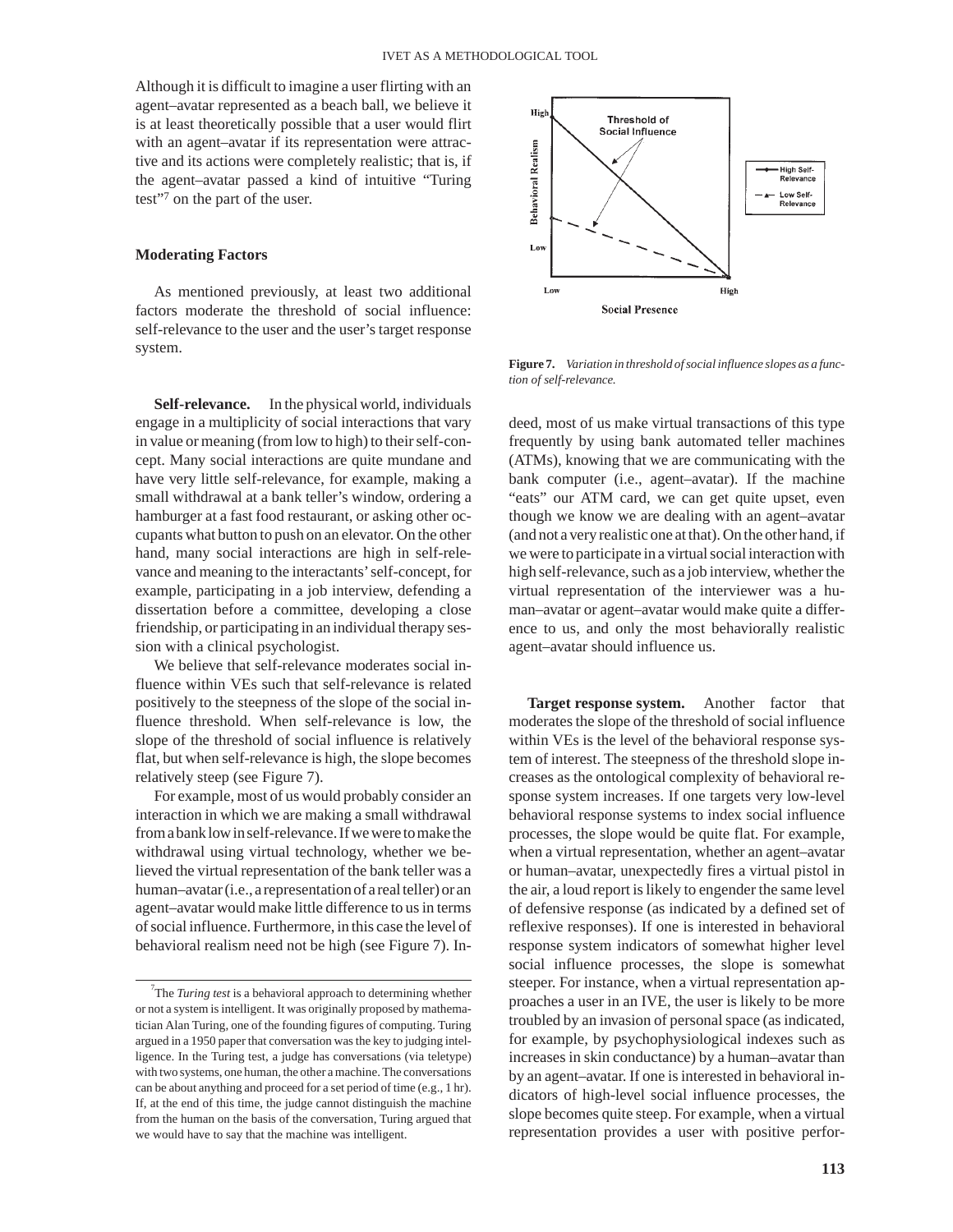Although it is difficult to imagine a user flirting with an agent–avatar represented as a beach ball, we believe it is at least theoretically possible that a user would flirt with an agent–avatar if its representation were attractive and its actions were completely realistic; that is, if the agent–avatar passed a kind of intuitive "Turing test"7 on the part of the user.

### **Moderating Factors**

As mentioned previously, at least two additional factors moderate the threshold of social influence: self-relevance to the user and the user's target response system.

**Self-relevance.** In the physical world, individuals engage in a multiplicity of social interactions that vary in value or meaning (from low to high) to their self-concept. Many social interactions are quite mundane and have very little self-relevance, for example, making a small withdrawal at a bank teller's window, ordering a hamburger at a fast food restaurant, or asking other occupants what button to push on an elevator. On the other hand, many social interactions are high in self-relevance and meaning to the interactants'self-concept, for example, participating in a job interview, defending a dissertation before a committee, developing a close friendship, or participating in an individual therapy session with a clinical psychologist.

We believe that self-relevance moderates social influence within VEs such that self-relevance is related positively to the steepness of the slope of the social influence threshold. When self-relevance is low, the slope of the threshold of social influence is relatively flat, but when self-relevance is high, the slope becomes relatively steep (see Figure 7).

For example, most of us would probably consider an interaction in which we are making a small withdrawal fromabanklowinself-relevance.Ifweweretomakethe withdrawal using virtual technology, whether we believed the virtual representation of the bank teller was a human–avatar (i.e., a representation of a real teller) or an agent–avatar would make little difference to us in terms of social influence. Furthermore, in this case the level of behavioral realism need not be high (see Figure 7). In-



**Figure 7.** *Variation in threshold of social influence slopes as a function of self-relevance.*

deed, most of us make virtual transactions of this type frequently by using bank automated teller machines (ATMs), knowing that we are communicating with the bank computer (i.e., agent–avatar). If the machine "eats" our ATM card, we can get quite upset, even though we know we are dealing with an agent–avatar (and not a very realistic one at that). On the other hand, if we were to participate in a virtual social interaction with high self-relevance, such as a job interview, whether the virtual representation of the interviewer was a human–avatar or agent–avatar would make quite a difference to us, and only the most behaviorally realistic agent–avatar should influence us.

**Target response system.** Another factor that moderates the slope of the threshold of social influence within VEs is the level of the behavioral response system of interest. The steepness of the threshold slope increases as the ontological complexity of behavioral response system increases. If one targets very low-level behavioral response systems to index social influence processes, the slope would be quite flat. For example, when a virtual representation, whether an agent–avatar or human–avatar, unexpectedly fires a virtual pistol in the air, a loud report is likely to engender the same level of defensive response (as indicated by a defined set of reflexive responses). If one is interested in behavioral response system indicators of somewhat higher level social influence processes, the slope is somewhat steeper. For instance, when a virtual representation approaches a user in an IVE, the user is likely to be more troubled by an invasion of personal space (as indicated, for example, by psychophysiological indexes such as increases in skin conductance) by a human–avatar than by an agent–avatar. If one is interested in behavioral indicators of high-level social influence processes, the slope becomes quite steep. For example, when a virtual representation provides a user with positive perfor-

<sup>7</sup> The *Turing test* is a behavioral approach to determining whether or not a system is intelligent. It was originally proposed by mathematician Alan Turing, one of the founding figures of computing. Turing argued in a 1950 paper that conversation was the key to judging intelligence. In the Turing test, a judge has conversations (via teletype) with two systems, one human, the other a machine. The conversations can be about anything and proceed for a set period of time (e.g., 1 hr). If, at the end of this time, the judge cannot distinguish the machine from the human on the basis of the conversation, Turing argued that we would have to say that the machine was intelligent.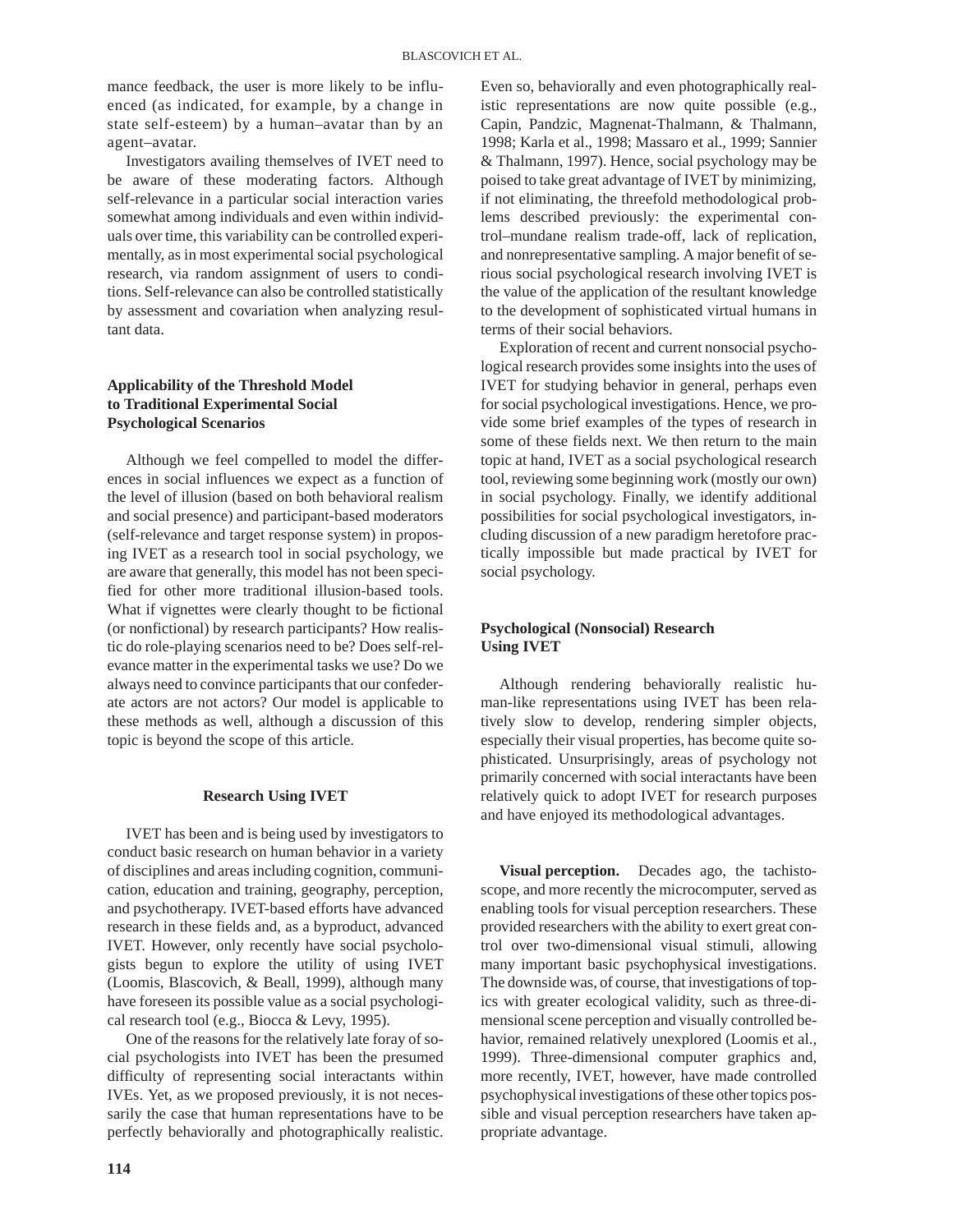mance feedback, the user is more likely to be influenced (as indicated, for example, by a change in state self-esteem) by a human–avatar than by an agent–avatar.

Investigators availing themselves of IVET need to be aware of these moderating factors. Although self-relevance in a particular social interaction varies somewhat among individuals and even within individuals over time, this variability can be controlled experimentally, as in most experimental social psychological research, via random assignment of users to conditions. Self-relevance can also be controlled statistically by assessment and covariation when analyzing resultant data.

# **Applicability of the Threshold Model to Traditional Experimental Social Psychological Scenarios**

Although we feel compelled to model the differences in social influences we expect as a function of the level of illusion (based on both behavioral realism and social presence) and participant-based moderators (self-relevance and target response system) in proposing IVET as a research tool in social psychology, we are aware that generally, this model has not been specified for other more traditional illusion-based tools. What if vignettes were clearly thought to be fictional (or nonfictional) by research participants? How realistic do role-playing scenarios need to be? Does self-relevance matter in the experimental tasks we use? Do we always need to convince participants that our confederate actors are not actors? Our model is applicable to these methods as well, although a discussion of this topic is beyond the scope of this article.

### **Research Using IVET**

IVET has been and is being used by investigators to conduct basic research on human behavior in a variety of disciplines and areas including cognition, communication, education and training, geography, perception, and psychotherapy. IVET-based efforts have advanced research in these fields and, as a byproduct, advanced IVET. However, only recently have social psychologists begun to explore the utility of using IVET (Loomis, Blascovich, & Beall, 1999), although many have foreseen its possible value as a social psychological research tool (e.g., Biocca & Levy, 1995).

One of the reasons for the relatively late foray of social psychologists into IVET has been the presumed difficulty of representing social interactants within IVEs. Yet, as we proposed previously, it is not necessarily the case that human representations have to be perfectly behaviorally and photographically realistic. Even so, behaviorally and even photographically realistic representations are now quite possible (e.g., Capin, Pandzic, Magnenat-Thalmann, & Thalmann, 1998; Karla et al., 1998; Massaro et al., 1999; Sannier & Thalmann, 1997). Hence, social psychology may be poised to take great advantage of IVET by minimizing, if not eliminating, the threefold methodological problems described previously: the experimental control–mundane realism trade-off, lack of replication, and nonrepresentative sampling. A major benefit of serious social psychological research involving IVET is the value of the application of the resultant knowledge to the development of sophisticated virtual humans in terms of their social behaviors.

Exploration of recent and current nonsocial psychological research provides some insights into the uses of IVET for studying behavior in general, perhaps even for social psychological investigations. Hence, we provide some brief examples of the types of research in some of these fields next. We then return to the main topic at hand, IVET as a social psychological research tool, reviewing some beginning work (mostly our own) in social psychology. Finally, we identify additional possibilities for social psychological investigators, including discussion of a new paradigm heretofore practically impossible but made practical by IVET for social psychology.

# **Psychological (Nonsocial) Research Using IVET**

Although rendering behaviorally realistic human-like representations using IVET has been relatively slow to develop, rendering simpler objects, especially their visual properties, has become quite sophisticated. Unsurprisingly, areas of psychology not primarily concerned with social interactants have been relatively quick to adopt IVET for research purposes and have enjoyed its methodological advantages.

**Visual perception.** Decades ago, the tachistoscope, and more recently the microcomputer, served as enabling tools for visual perception researchers. These provided researchers with the ability to exert great control over two-dimensional visual stimuli, allowing many important basic psychophysical investigations. The downside was, of course, that investigations of topics with greater ecological validity, such as three-dimensional scene perception and visually controlled behavior, remained relatively unexplored (Loomis et al., 1999). Three-dimensional computer graphics and, more recently, IVET, however, have made controlled psychophysical investigations of these other topics possible and visual perception researchers have taken appropriate advantage.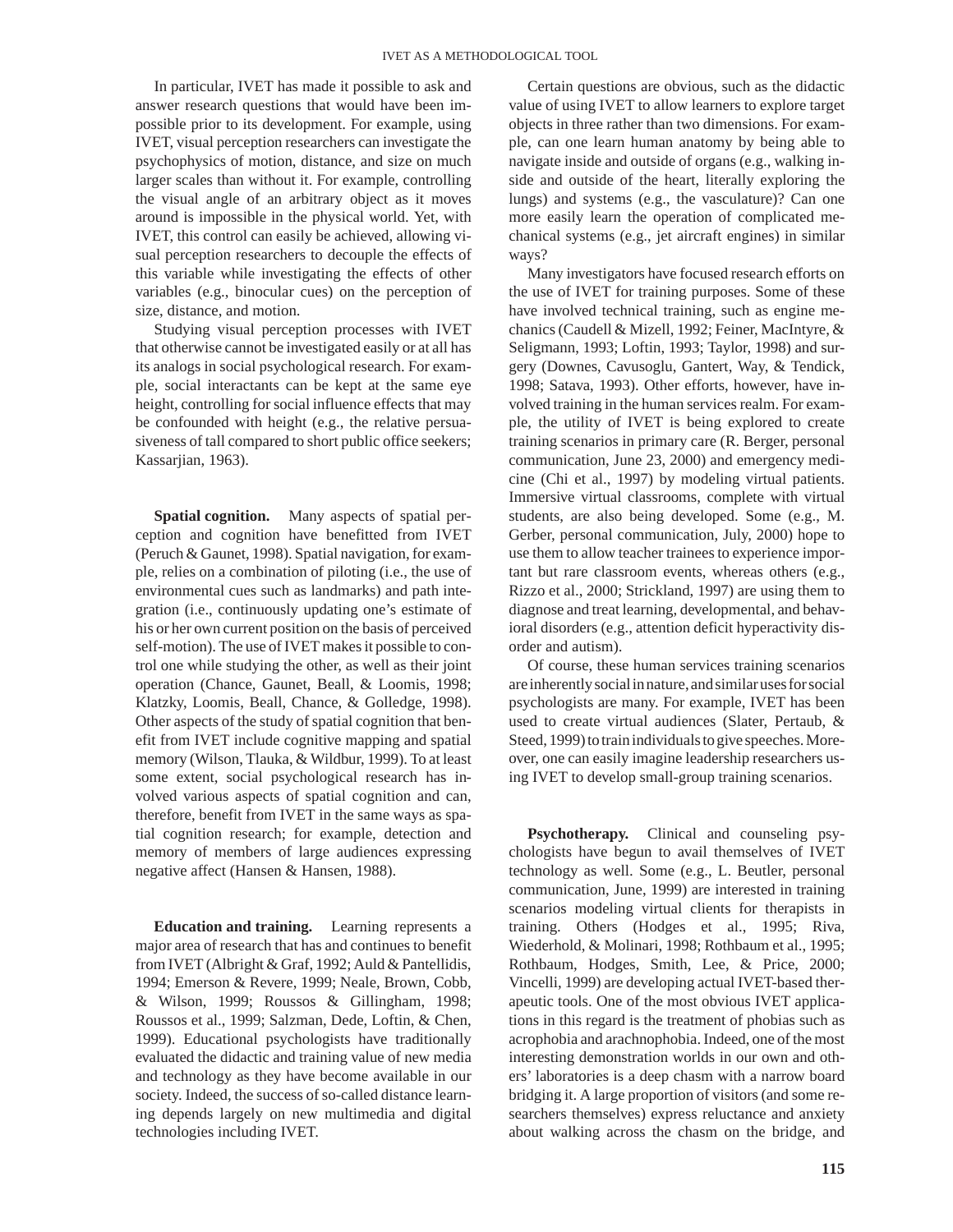In particular, IVET has made it possible to ask and answer research questions that would have been impossible prior to its development. For example, using IVET, visual perception researchers can investigate the psychophysics of motion, distance, and size on much larger scales than without it. For example, controlling the visual angle of an arbitrary object as it moves around is impossible in the physical world. Yet, with IVET, this control can easily be achieved, allowing visual perception researchers to decouple the effects of this variable while investigating the effects of other variables (e.g., binocular cues) on the perception of size, distance, and motion.

Studying visual perception processes with IVET that otherwise cannot be investigated easily or at all has its analogs in social psychological research. For example, social interactants can be kept at the same eye height, controlling for social influence effects that may be confounded with height (e.g., the relative persuasiveness of tall compared to short public office seekers; Kassarjian, 1963).

**Spatial cognition.** Many aspects of spatial perception and cognition have benefitted from IVET (Peruch & Gaunet, 1998). Spatial navigation, for example, relies on a combination of piloting (i.e., the use of environmental cues such as landmarks) and path integration (i.e., continuously updating one's estimate of his or her own current position on the basis of perceived self-motion). The use of IVET makes it possible to control one while studying the other, as well as their joint operation (Chance, Gaunet, Beall, & Loomis, 1998; Klatzky, Loomis, Beall, Chance, & Golledge, 1998). Other aspects of the study of spatial cognition that benefit from IVET include cognitive mapping and spatial memory (Wilson, Tlauka, & Wildbur, 1999). To at least some extent, social psychological research has involved various aspects of spatial cognition and can, therefore, benefit from IVET in the same ways as spatial cognition research; for example, detection and memory of members of large audiences expressing negative affect (Hansen & Hansen, 1988).

**Education and training.** Learning represents a major area of research that has and continues to benefit from IVET (Albright & Graf, 1992; Auld & Pantellidis, 1994; Emerson & Revere, 1999; Neale, Brown, Cobb, & Wilson, 1999; Roussos & Gillingham, 1998; Roussos et al., 1999; Salzman, Dede, Loftin, & Chen, 1999). Educational psychologists have traditionally evaluated the didactic and training value of new media and technology as they have become available in our society. Indeed, the success of so-called distance learning depends largely on new multimedia and digital technologies including IVET.

Certain questions are obvious, such as the didactic value of using IVET to allow learners to explore target objects in three rather than two dimensions. For example, can one learn human anatomy by being able to navigate inside and outside of organs (e.g., walking inside and outside of the heart, literally exploring the lungs) and systems (e.g., the vasculature)? Can one more easily learn the operation of complicated mechanical systems (e.g., jet aircraft engines) in similar ways?

Many investigators have focused research efforts on the use of IVET for training purposes. Some of these have involved technical training, such as engine mechanics (Caudell & Mizell, 1992; Feiner, MacIntyre, & Seligmann, 1993; Loftin, 1993; Taylor, 1998) and surgery (Downes, Cavusoglu, Gantert, Way, & Tendick, 1998; Satava, 1993). Other efforts, however, have involved training in the human services realm. For example, the utility of IVET is being explored to create training scenarios in primary care (R. Berger, personal communication, June 23, 2000) and emergency medicine (Chi et al., 1997) by modeling virtual patients. Immersive virtual classrooms, complete with virtual students, are also being developed. Some (e.g., M. Gerber, personal communication, July, 2000) hope to use them to allow teacher trainees to experience important but rare classroom events, whereas others (e.g., Rizzo et al., 2000; Strickland, 1997) are using them to diagnose and treat learning, developmental, and behavioral disorders (e.g., attention deficit hyperactivity disorder and autism).

Of course, these human services training scenarios areinherentlysocialinnature,andsimilarusesforsocial psychologists are many. For example, IVET has been used to create virtual audiences (Slater, Pertaub, & Steed, 1999) to train individuals to give speeches. Moreover, one can easily imagine leadership researchers using IVET to develop small-group training scenarios.

**Psychotherapy.** Clinical and counseling psychologists have begun to avail themselves of IVET technology as well. Some (e.g., L. Beutler, personal communication, June, 1999) are interested in training scenarios modeling virtual clients for therapists in training. Others (Hodges et al., 1995; Riva, Wiederhold, & Molinari, 1998; Rothbaum et al., 1995; Rothbaum, Hodges, Smith, Lee, & Price, 2000; Vincelli, 1999) are developing actual IVET-based therapeutic tools. One of the most obvious IVET applications in this regard is the treatment of phobias such as acrophobia and arachnophobia. Indeed, one of the most interesting demonstration worlds in our own and others' laboratories is a deep chasm with a narrow board bridging it. A large proportion of visitors (and some researchers themselves) express reluctance and anxiety about walking across the chasm on the bridge, and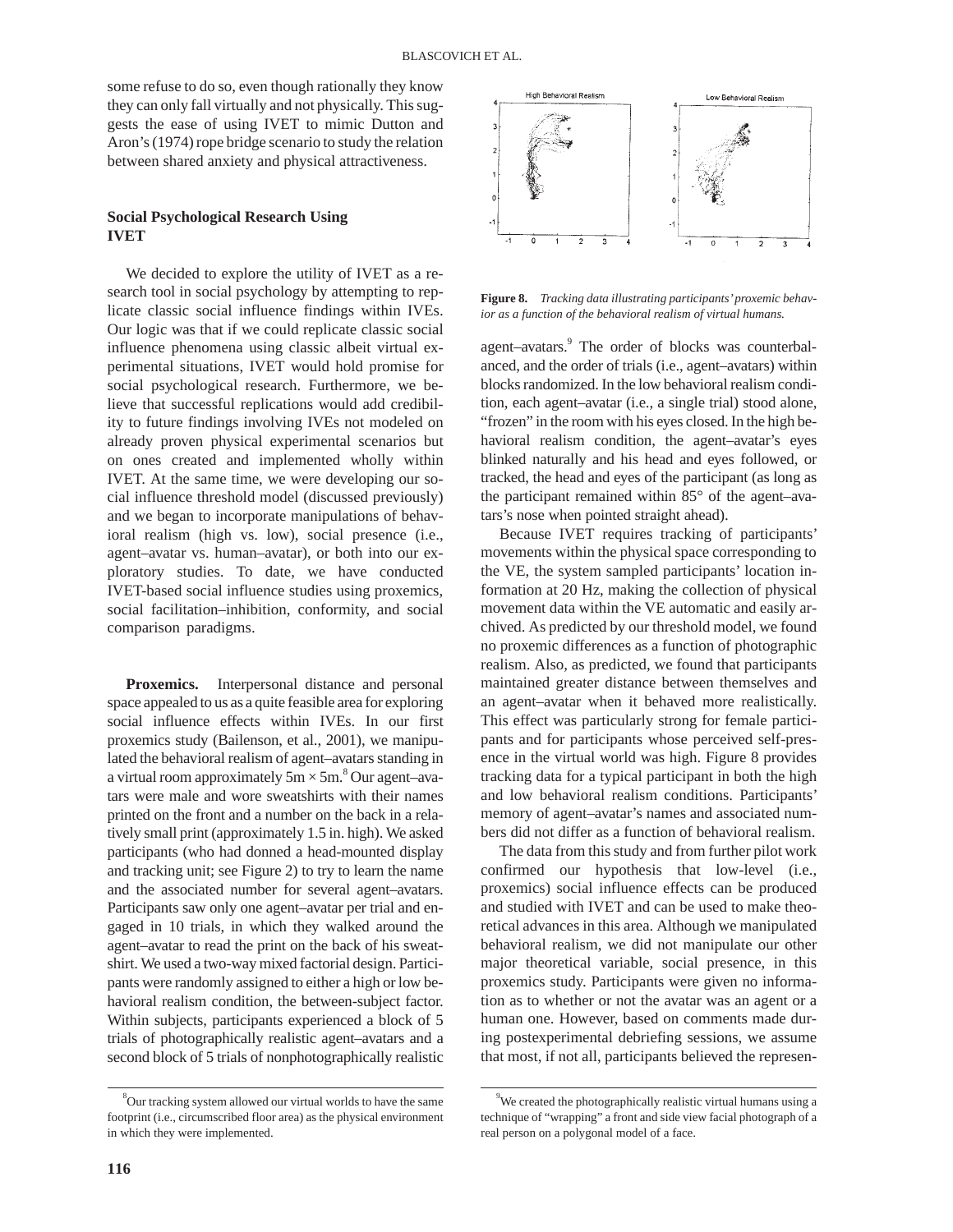some refuse to do so, even though rationally they know they can only fall virtually and not physically. This suggests the ease of using IVET to mimic Dutton and Aron's (1974) rope bridge scenario to study the relation between shared anxiety and physical attractiveness.

# **Social Psychological Research Using IVET**

We decided to explore the utility of IVET as a research tool in social psychology by attempting to replicate classic social influence findings within IVEs. Our logic was that if we could replicate classic social influence phenomena using classic albeit virtual experimental situations, IVET would hold promise for social psychological research. Furthermore, we believe that successful replications would add credibility to future findings involving IVEs not modeled on already proven physical experimental scenarios but on ones created and implemented wholly within IVET. At the same time, we were developing our social influence threshold model (discussed previously) and we began to incorporate manipulations of behavioral realism (high vs. low), social presence (i.e., agent–avatar vs. human–avatar), or both into our exploratory studies. To date, we have conducted IVET-based social influence studies using proxemics, social facilitation–inhibition, conformity, and social comparison paradigms.

**Proxemics.** Interpersonal distance and personal space appealed to us as a quite feasible area for exploring social influence effects within IVEs. In our first proxemics study (Bailenson, et al., 2001), we manipulated the behavioral realism of agent–avatars standing in a virtual room approximately 5m  $\times$  5m. $^{8}$  Our agent–avatars were male and wore sweatshirts with their names printed on the front and a number on the back in a relatively small print (approximately 1.5 in. high). We asked participants (who had donned a head-mounted display and tracking unit; see Figure 2) to try to learn the name and the associated number for several agent–avatars. Participants saw only one agent–avatar per trial and engaged in 10 trials, in which they walked around the agent–avatar to read the print on the back of his sweatshirt. We used a two-way mixed factorial design. Participants were randomly assigned to either a high or low behavioral realism condition, the between-subject factor. Within subjects, participants experienced a block of 5 trials of photographically realistic agent–avatars and a second block of 5 trials of nonphotographically realistic



**Figure 8.** *Tracking data illustrating participants'proxemic behavior as a function of the behavioral realism of virtual humans.*

agent–avatars.<sup>9</sup> The order of blocks was counterbalanced, and the order of trials (i.e., agent–avatars) within blocks randomized. In the low behavioral realism condition, each agent–avatar (i.e., a single trial) stood alone, "frozen" in the room with his eyes closed. In the high behavioral realism condition, the agent–avatar's eyes blinked naturally and his head and eyes followed, or tracked, the head and eyes of the participant (as long as the participant remained within 85° of the agent–avatars's nose when pointed straight ahead).

Because IVET requires tracking of participants' movements within the physical space corresponding to the VE, the system sampled participants' location information at 20 Hz, making the collection of physical movement data within the VE automatic and easily archived. As predicted by our threshold model, we found no proxemic differences as a function of photographic realism. Also, as predicted, we found that participants maintained greater distance between themselves and an agent–avatar when it behaved more realistically. This effect was particularly strong for female participants and for participants whose perceived self-presence in the virtual world was high. Figure 8 provides tracking data for a typical participant in both the high and low behavioral realism conditions. Participants' memory of agent–avatar's names and associated numbers did not differ as a function of behavioral realism.

The data from this study and from further pilot work confirmed our hypothesis that low-level (i.e., proxemics) social influence effects can be produced and studied with IVET and can be used to make theoretical advances in this area. Although we manipulated behavioral realism, we did not manipulate our other major theoretical variable, social presence, in this proxemics study. Participants were given no information as to whether or not the avatar was an agent or a human one. However, based on comments made during postexperimental debriefing sessions, we assume that most, if not all, participants believed the represen-

 ${}^{8}$ Our tracking system allowed our virtual worlds to have the same footprint (i.e., circumscribed floor area) as the physical environment in which they were implemented.

<sup>9</sup> We created the photographically realistic virtual humans using a technique of "wrapping" a front and side view facial photograph of a real person on a polygonal model of a face.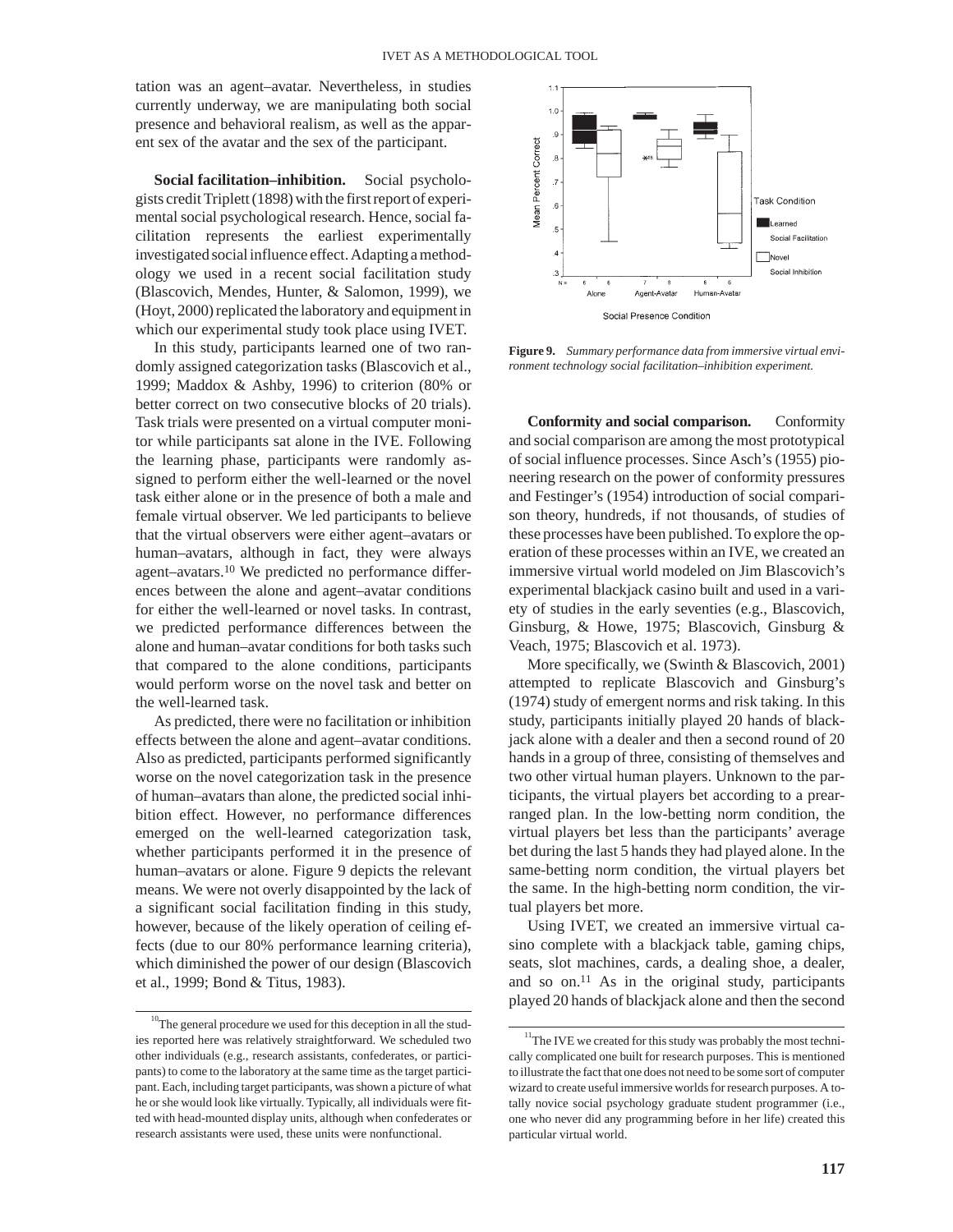tation was an agent–avatar. Nevertheless, in studies currently underway, we are manipulating both social presence and behavioral realism, as well as the apparent sex of the avatar and the sex of the participant.

**Social facilitation–inhibition.** Social psychologists credit Triplett (1898) with the first report of experimental social psychological research. Hence, social facilitation represents the earliest experimentally investigated social influence effect. Adapting a methodology we used in a recent social facilitation study (Blascovich, Mendes, Hunter, & Salomon, 1999), we (Hoyt, 2000) replicated the laboratory and equipment in which our experimental study took place using IVET.

In this study, participants learned one of two randomly assigned categorization tasks (Blascovich et al., 1999; Maddox & Ashby, 1996) to criterion (80% or better correct on two consecutive blocks of 20 trials). Task trials were presented on a virtual computer monitor while participants sat alone in the IVE. Following the learning phase, participants were randomly assigned to perform either the well-learned or the novel task either alone or in the presence of both a male and female virtual observer. We led participants to believe that the virtual observers were either agent–avatars or human–avatars, although in fact, they were always agent–avatars.10 We predicted no performance differences between the alone and agent–avatar conditions for either the well-learned or novel tasks. In contrast, we predicted performance differences between the alone and human–avatar conditions for both tasks such that compared to the alone conditions, participants would perform worse on the novel task and better on the well-learned task.

As predicted, there were no facilitation or inhibition effects between the alone and agent–avatar conditions. Also as predicted, participants performed significantly worse on the novel categorization task in the presence of human–avatars than alone, the predicted social inhibition effect. However, no performance differences emerged on the well-learned categorization task, whether participants performed it in the presence of human–avatars or alone. Figure 9 depicts the relevant means. We were not overly disappointed by the lack of a significant social facilitation finding in this study, however, because of the likely operation of ceiling effects (due to our 80% performance learning criteria), which diminished the power of our design (Blascovich et al., 1999; Bond & Titus, 1983).



**Figure 9.** *Summary performance data from immersive virtual environment technology social facilitation–inhibition experiment.*

**Conformity and social comparison.** Conformity and social comparison are among the most prototypical of social influence processes. Since Asch's (1955) pioneering research on the power of conformity pressures and Festinger's (1954) introduction of social comparison theory, hundreds, if not thousands, of studies of these processes have been published. To explore the operation of these processes within an IVE, we created an immersive virtual world modeled on Jim Blascovich's experimental blackjack casino built and used in a variety of studies in the early seventies (e.g., Blascovich, Ginsburg, & Howe, 1975; Blascovich, Ginsburg & Veach, 1975; Blascovich et al. 1973).

More specifically, we (Swinth & Blascovich, 2001) attempted to replicate Blascovich and Ginsburg's (1974) study of emergent norms and risk taking. In this study, participants initially played 20 hands of blackjack alone with a dealer and then a second round of 20 hands in a group of three, consisting of themselves and two other virtual human players. Unknown to the participants, the virtual players bet according to a prearranged plan. In the low-betting norm condition, the virtual players bet less than the participants' average bet during the last 5 hands they had played alone. In the same-betting norm condition, the virtual players bet the same. In the high-betting norm condition, the virtual players bet more.

Using IVET, we created an immersive virtual casino complete with a blackjack table, gaming chips, seats, slot machines, cards, a dealing shoe, a dealer, and so on.11 As in the original study, participants played 20 hands of blackjack alone and then the second

 $10$ <sup>10</sup>The general procedure we used for this deception in all the studies reported here was relatively straightforward. We scheduled two other individuals (e.g., research assistants, confederates, or participants) to come to the laboratory at the same time as the target participant. Each, including target participants, was shown a picture of what he or she would look like virtually. Typically, all individuals were fitted with head-mounted display units, although when confederates or research assistants were used, these units were nonfunctional.

<sup>&</sup>lt;sup>11</sup>The IVE we created for this study was probably the most technically complicated one built for research purposes. This is mentioned to illustrate the fact that one does not need to be some sort of computer wizard to create useful immersive worlds for research purposes. A totally novice social psychology graduate student programmer (i.e., one who never did any programming before in her life) created this particular virtual world.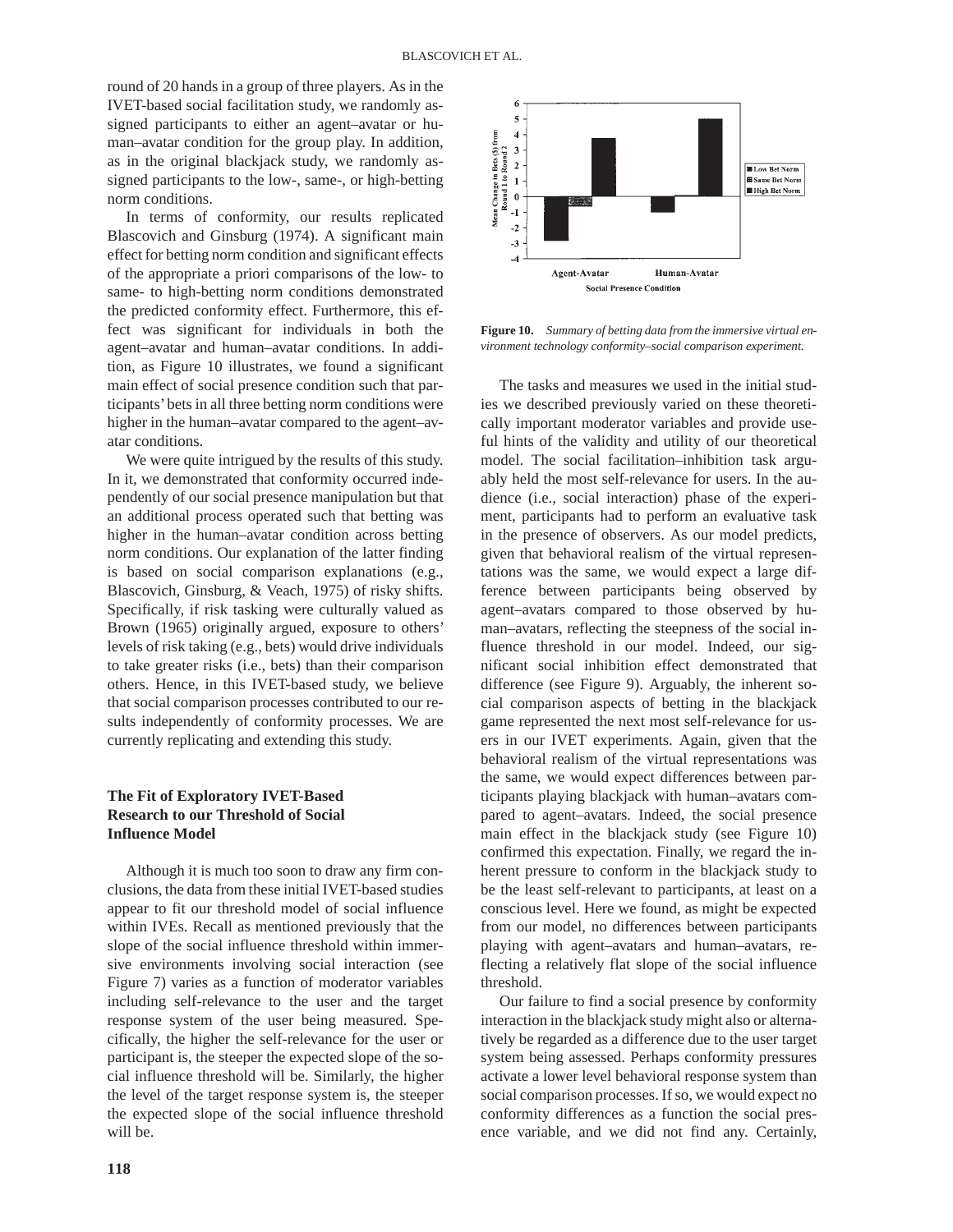round of 20 hands in a group of three players. As in the IVET-based social facilitation study, we randomly assigned participants to either an agent–avatar or human–avatar condition for the group play. In addition, as in the original blackjack study, we randomly assigned participants to the low-, same-, or high-betting norm conditions.

In terms of conformity, our results replicated Blascovich and Ginsburg (1974). A significant main effect for betting norm condition and significant effects of the appropriate a priori comparisons of the low- to same- to high-betting norm conditions demonstrated the predicted conformity effect. Furthermore, this effect was significant for individuals in both the agent–avatar and human–avatar conditions. In addition, as Figure 10 illustrates, we found a significant main effect of social presence condition such that participants'bets in all three betting norm conditions were higher in the human–avatar compared to the agent–avatar conditions.

We were quite intrigued by the results of this study. In it, we demonstrated that conformity occurred independently of our social presence manipulation but that an additional process operated such that betting was higher in the human–avatar condition across betting norm conditions. Our explanation of the latter finding is based on social comparison explanations (e.g., Blascovich, Ginsburg, & Veach, 1975) of risky shifts. Specifically, if risk tasking were culturally valued as Brown (1965) originally argued, exposure to others' levels of risk taking (e.g., bets) would drive individuals to take greater risks (i.e., bets) than their comparison others. Hence, in this IVET-based study, we believe that social comparison processes contributed to our results independently of conformity processes. We are currently replicating and extending this study.

# **The Fit of Exploratory IVET-Based Research to our Threshold of Social Influence Model**

Although it is much too soon to draw any firm conclusions, the data from these initial IVET-based studies appear to fit our threshold model of social influence within IVEs. Recall as mentioned previously that the slope of the social influence threshold within immersive environments involving social interaction (see Figure 7) varies as a function of moderator variables including self-relevance to the user and the target response system of the user being measured. Specifically, the higher the self-relevance for the user or participant is, the steeper the expected slope of the social influence threshold will be. Similarly, the higher the level of the target response system is, the steeper the expected slope of the social influence threshold will be.



**Figure 10.** *Summary of betting data from the immersive virtual environment technology conformity–social comparison experiment.*

The tasks and measures we used in the initial studies we described previously varied on these theoretically important moderator variables and provide useful hints of the validity and utility of our theoretical model. The social facilitation–inhibition task arguably held the most self-relevance for users. In the audience (i.e., social interaction) phase of the experiment, participants had to perform an evaluative task in the presence of observers. As our model predicts, given that behavioral realism of the virtual representations was the same, we would expect a large difference between participants being observed by agent–avatars compared to those observed by human–avatars, reflecting the steepness of the social influence threshold in our model. Indeed, our significant social inhibition effect demonstrated that difference (see Figure 9). Arguably, the inherent social comparison aspects of betting in the blackjack game represented the next most self-relevance for users in our IVET experiments. Again, given that the behavioral realism of the virtual representations was the same, we would expect differences between participants playing blackjack with human–avatars compared to agent–avatars. Indeed, the social presence main effect in the blackjack study (see Figure 10) confirmed this expectation. Finally, we regard the inherent pressure to conform in the blackjack study to be the least self-relevant to participants, at least on a conscious level. Here we found, as might be expected from our model, no differences between participants playing with agent–avatars and human–avatars, reflecting a relatively flat slope of the social influence threshold.

Our failure to find a social presence by conformity interaction in the blackjack study might also or alternatively be regarded as a difference due to the user target system being assessed. Perhaps conformity pressures activate a lower level behavioral response system than social comparison processes. If so, we would expect no conformity differences as a function the social presence variable, and we did not find any. Certainly,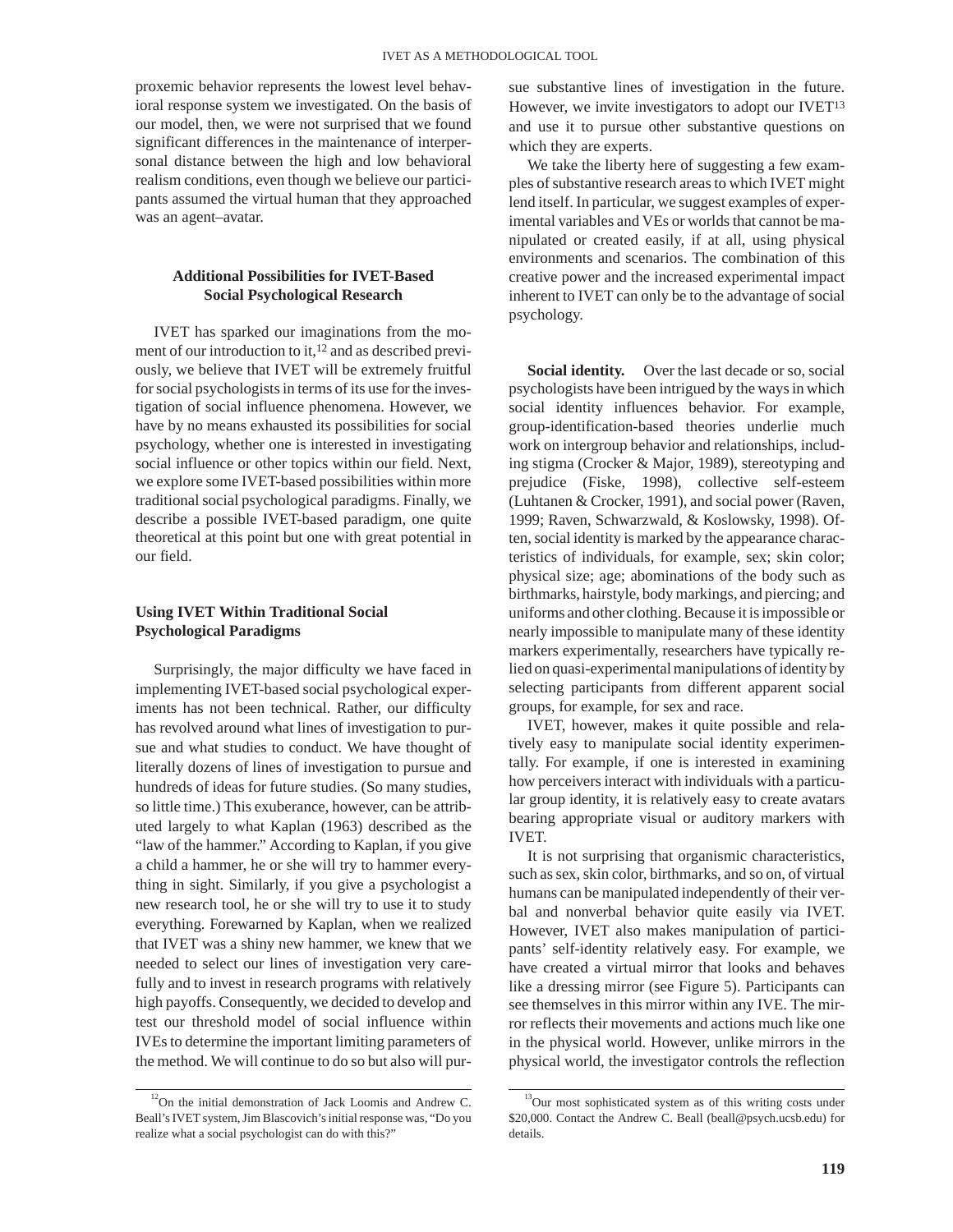proxemic behavior represents the lowest level behavioral response system we investigated. On the basis of our model, then, we were not surprised that we found significant differences in the maintenance of interpersonal distance between the high and low behavioral realism conditions, even though we believe our participants assumed the virtual human that they approached was an agent–avatar.

# **Additional Possibilities for IVET-Based Social Psychological Research**

IVET has sparked our imaginations from the moment of our introduction to it,<sup>12</sup> and as described previously, we believe that IVET will be extremely fruitful for social psychologists in terms of its use for the investigation of social influence phenomena. However, we have by no means exhausted its possibilities for social psychology, whether one is interested in investigating social influence or other topics within our field. Next, we explore some IVET-based possibilities within more traditional social psychological paradigms. Finally, we describe a possible IVET-based paradigm, one quite theoretical at this point but one with great potential in our field.

# **Using IVET Within Traditional Social Psychological Paradigms**

Surprisingly, the major difficulty we have faced in implementing IVET-based social psychological experiments has not been technical. Rather, our difficulty has revolved around what lines of investigation to pursue and what studies to conduct. We have thought of literally dozens of lines of investigation to pursue and hundreds of ideas for future studies. (So many studies, so little time.) This exuberance, however, can be attributed largely to what Kaplan (1963) described as the "law of the hammer." According to Kaplan, if you give a child a hammer, he or she will try to hammer everything in sight. Similarly, if you give a psychologist a new research tool, he or she will try to use it to study everything. Forewarned by Kaplan, when we realized that IVET was a shiny new hammer, we knew that we needed to select our lines of investigation very carefully and to invest in research programs with relatively high payoffs. Consequently, we decided to develop and test our threshold model of social influence within IVEs to determine the important limiting parameters of the method. We will continue to do so but also will pursue substantive lines of investigation in the future. However, we invite investigators to adopt our IVET13 and use it to pursue other substantive questions on which they are experts.

We take the liberty here of suggesting a few examples of substantive research areas to which IVET might lend itself. In particular, we suggest examples of experimental variables and VEs or worlds that cannot be manipulated or created easily, if at all, using physical environments and scenarios. The combination of this creative power and the increased experimental impact inherent to IVET can only be to the advantage of social psychology.

**Social identity.** Over the last decade or so, social psychologists have been intrigued by the ways in which social identity influences behavior. For example, group-identification-based theories underlie much work on intergroup behavior and relationships, including stigma (Crocker & Major, 1989), stereotyping and prejudice (Fiske, 1998), collective self-esteem (Luhtanen & Crocker, 1991), and social power (Raven, 1999; Raven, Schwarzwald, & Koslowsky, 1998). Often, social identity is marked by the appearance characteristics of individuals, for example, sex; skin color; physical size; age; abominations of the body such as birthmarks, hairstyle, body markings, and piercing; and uniforms and other clothing. Because it is impossible or nearly impossible to manipulate many of these identity markers experimentally, researchers have typically relied on quasi-experimental manipulations of identity by selecting participants from different apparent social groups, for example, for sex and race.

IVET, however, makes it quite possible and relatively easy to manipulate social identity experimentally. For example, if one is interested in examining how perceivers interact with individuals with a particular group identity, it is relatively easy to create avatars bearing appropriate visual or auditory markers with IVET.

It is not surprising that organismic characteristics, such as sex, skin color, birthmarks, and so on, of virtual humans can be manipulated independently of their verbal and nonverbal behavior quite easily via IVET. However, IVET also makes manipulation of participants' self-identity relatively easy. For example, we have created a virtual mirror that looks and behaves like a dressing mirror (see Figure 5). Participants can see themselves in this mirror within any IVE. The mirror reflects their movements and actions much like one in the physical world. However, unlike mirrors in the physical world, the investigator controls the reflection

<sup>&</sup>lt;sup>12</sup>On the initial demonstration of Jack Loomis and Andrew C. Beall's IVET system, Jim Blascovich's initial response was, "Do you realize what a social psychologist can do with this?"

<sup>&</sup>lt;sup>13</sup>Our most sophisticated system as of this writing costs under \$20,000. Contact the Andrew C. Beall (beall@psych.ucsb.edu) for details.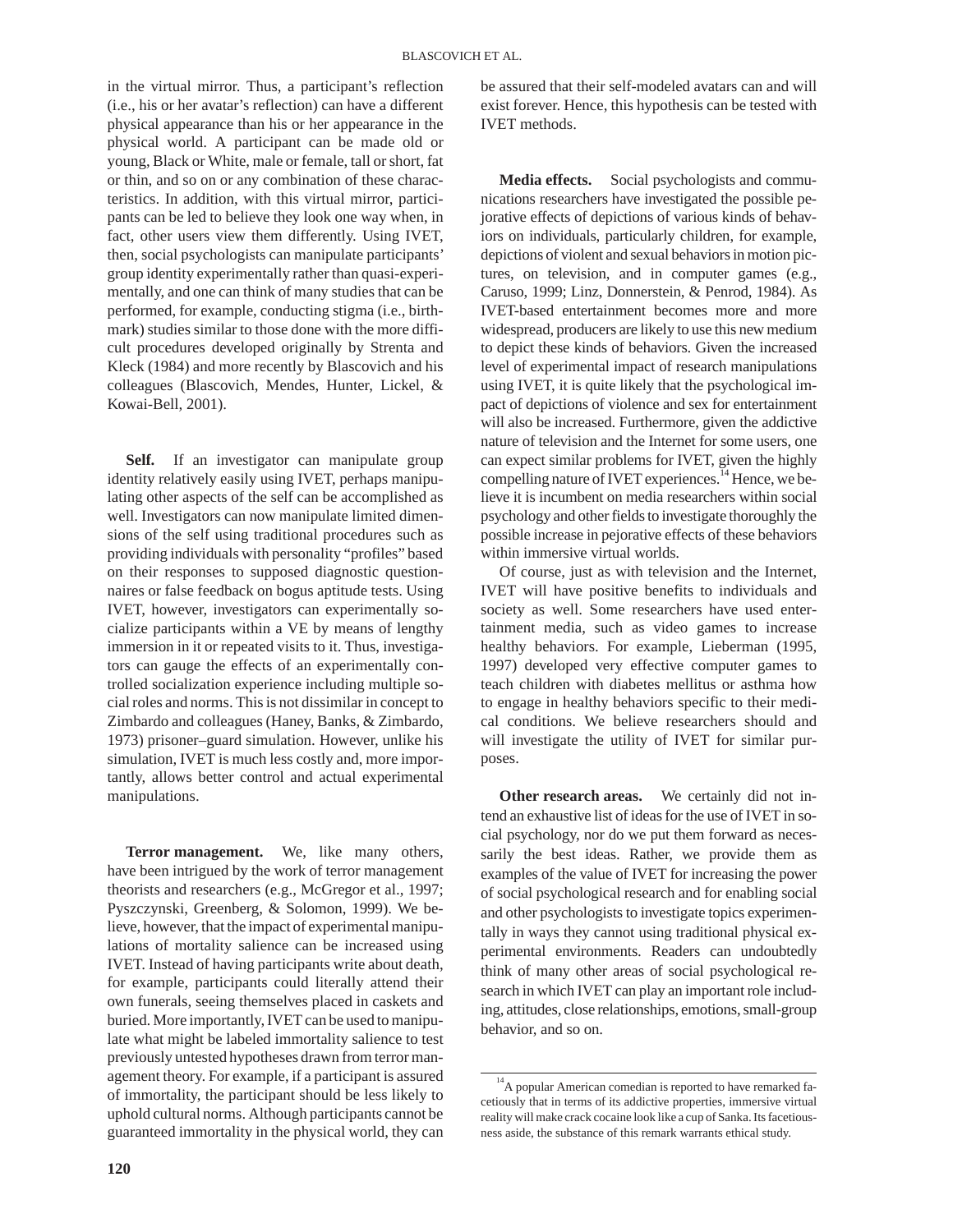in the virtual mirror. Thus, a participant's reflection (i.e., his or her avatar's reflection) can have a different physical appearance than his or her appearance in the physical world. A participant can be made old or young, Black or White, male or female, tall or short, fat or thin, and so on or any combination of these characteristics. In addition, with this virtual mirror, participants can be led to believe they look one way when, in fact, other users view them differently. Using IVET, then, social psychologists can manipulate participants' group identity experimentally rather than quasi-experimentally, and one can think of many studies that can be performed, for example, conducting stigma (i.e., birthmark) studies similar to those done with the more difficult procedures developed originally by Strenta and Kleck (1984) and more recently by Blascovich and his colleagues (Blascovich, Mendes, Hunter, Lickel, & Kowai-Bell, 2001).

Self. If an investigator can manipulate group identity relatively easily using IVET, perhaps manipulating other aspects of the self can be accomplished as well. Investigators can now manipulate limited dimensions of the self using traditional procedures such as providing individuals with personality "profiles" based on their responses to supposed diagnostic questionnaires or false feedback on bogus aptitude tests. Using IVET, however, investigators can experimentally socialize participants within a VE by means of lengthy immersion in it or repeated visits to it. Thus, investigators can gauge the effects of an experimentally controlled socialization experience including multiple social roles and norms. This is not dissimilar in concept to Zimbardo and colleagues (Haney, Banks, & Zimbardo, 1973) prisoner–guard simulation. However, unlike his simulation, IVET is much less costly and, more importantly, allows better control and actual experimental manipulations.

**Terror management.** We, like many others, have been intrigued by the work of terror management theorists and researchers (e.g., McGregor et al., 1997; Pyszczynski, Greenberg, & Solomon, 1999). We believe, however, that the impact of experimental manipulations of mortality salience can be increased using IVET. Instead of having participants write about death, for example, participants could literally attend their own funerals, seeing themselves placed in caskets and buried. More importantly, IVET can be used to manipulate what might be labeled immortality salience to test previously untested hypotheses drawn from terror management theory. For example, if a participant is assured of immortality, the participant should be less likely to uphold cultural norms. Although participants cannot be guaranteed immortality in the physical world, they can be assured that their self-modeled avatars can and will exist forever. Hence, this hypothesis can be tested with IVET methods.

**Media effects.** Social psychologists and communications researchers have investigated the possible pejorative effects of depictions of various kinds of behaviors on individuals, particularly children, for example, depictions of violent and sexual behaviors in motion pictures, on television, and in computer games (e.g., Caruso, 1999; Linz, Donnerstein, & Penrod, 1984). As IVET-based entertainment becomes more and more widespread, producers are likely to use this new medium to depict these kinds of behaviors. Given the increased level of experimental impact of research manipulations using IVET, it is quite likely that the psychological impact of depictions of violence and sex for entertainment will also be increased. Furthermore, given the addictive nature of television and the Internet for some users, one can expect similar problems for IVET, given the highly compelling nature of IVET experiences.<sup>14</sup> Hence, we believe it is incumbent on media researchers within social psychology and other fields to investigate thoroughly the possible increase in pejorative effects of these behaviors within immersive virtual worlds.

Of course, just as with television and the Internet, IVET will have positive benefits to individuals and society as well. Some researchers have used entertainment media, such as video games to increase healthy behaviors. For example, Lieberman (1995, 1997) developed very effective computer games to teach children with diabetes mellitus or asthma how to engage in healthy behaviors specific to their medical conditions. We believe researchers should and will investigate the utility of IVET for similar purposes.

**Other research areas.** We certainly did not intend an exhaustive list of ideas for the use of IVET in social psychology, nor do we put them forward as necessarily the best ideas. Rather, we provide them as examples of the value of IVET for increasing the power of social psychological research and for enabling social and other psychologists to investigate topics experimentally in ways they cannot using traditional physical experimental environments. Readers can undoubtedly think of many other areas of social psychological research in which IVET can play an important role including, attitudes, close relationships, emotions, small-group behavior, and so on.

<sup>&</sup>lt;sup>14</sup>A popular American comedian is reported to have remarked facetiously that in terms of its addictive properties, immersive virtual reality will make crack cocaine look like a cup of Sanka. Its facetiousness aside, the substance of this remark warrants ethical study.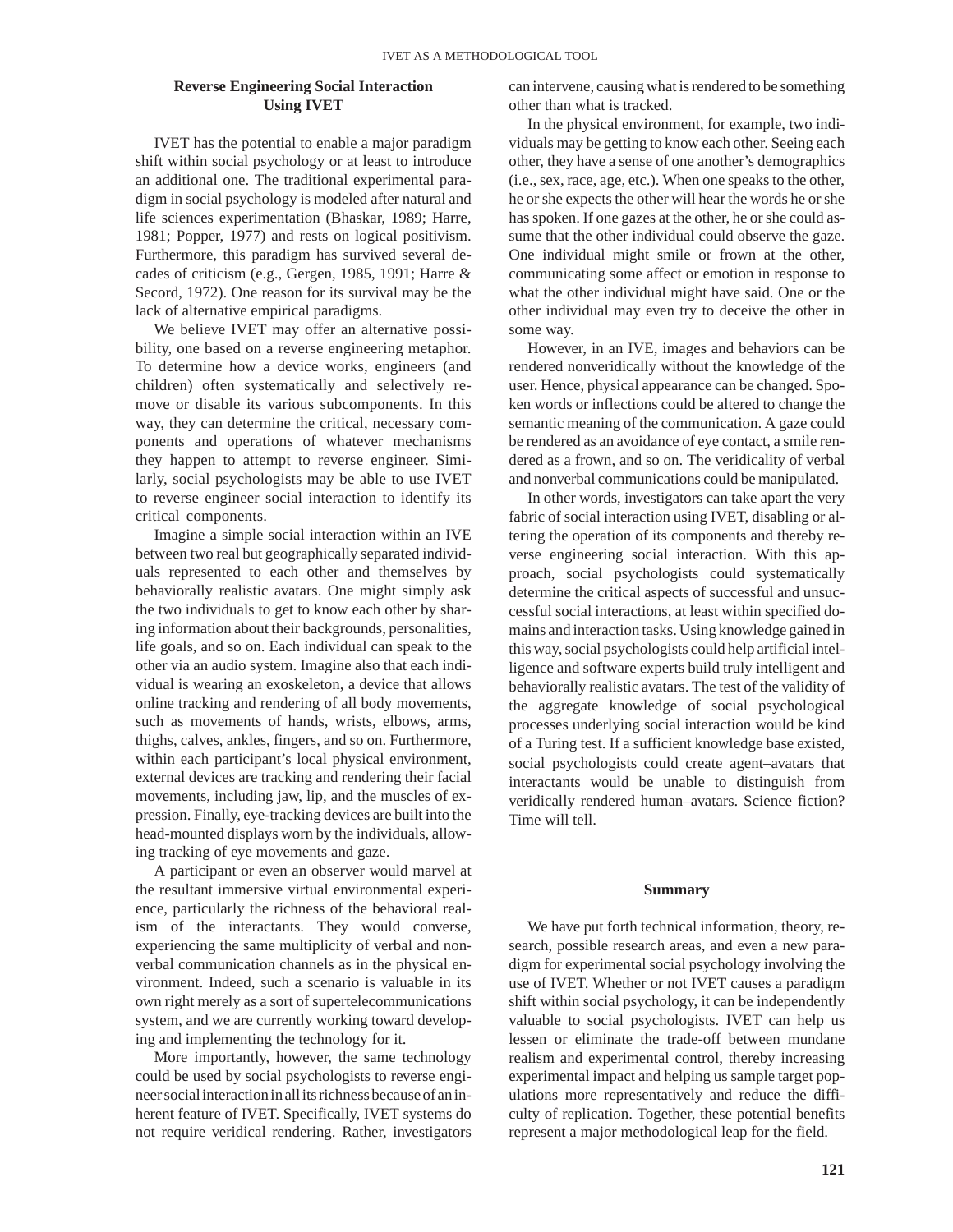### **Reverse Engineering Social Interaction Using IVET**

IVET has the potential to enable a major paradigm shift within social psychology or at least to introduce an additional one. The traditional experimental paradigm in social psychology is modeled after natural and life sciences experimentation (Bhaskar, 1989; Harre, 1981; Popper, 1977) and rests on logical positivism. Furthermore, this paradigm has survived several decades of criticism (e.g., Gergen, 1985, 1991; Harre & Secord, 1972). One reason for its survival may be the lack of alternative empirical paradigms.

We believe IVET may offer an alternative possibility, one based on a reverse engineering metaphor. To determine how a device works, engineers (and children) often systematically and selectively remove or disable its various subcomponents. In this way, they can determine the critical, necessary components and operations of whatever mechanisms they happen to attempt to reverse engineer. Similarly, social psychologists may be able to use IVET to reverse engineer social interaction to identify its critical components.

Imagine a simple social interaction within an IVE between two real but geographically separated individuals represented to each other and themselves by behaviorally realistic avatars. One might simply ask the two individuals to get to know each other by sharing information about their backgrounds, personalities, life goals, and so on. Each individual can speak to the other via an audio system. Imagine also that each individual is wearing an exoskeleton, a device that allows online tracking and rendering of all body movements, such as movements of hands, wrists, elbows, arms, thighs, calves, ankles, fingers, and so on. Furthermore, within each participant's local physical environment, external devices are tracking and rendering their facial movements, including jaw, lip, and the muscles of expression. Finally, eye-tracking devices are built into the head-mounted displays worn by the individuals, allowing tracking of eye movements and gaze.

A participant or even an observer would marvel at the resultant immersive virtual environmental experience, particularly the richness of the behavioral realism of the interactants. They would converse, experiencing the same multiplicity of verbal and nonverbal communication channels as in the physical environment. Indeed, such a scenario is valuable in its own right merely as a sort of supertelecommunications system, and we are currently working toward developing and implementing the technology for it.

More importantly, however, the same technology could be used by social psychologists to reverse engineer social interaction in all its richness because of an inherent feature of IVET. Specifically, IVET systems do not require veridical rendering. Rather, investigators can intervene, causing what is rendered to be something other than what is tracked.

In the physical environment, for example, two individuals may be getting to know each other. Seeing each other, they have a sense of one another's demographics (i.e., sex, race, age, etc.). When one speaks to the other, he or she expects the other will hear the words he or she has spoken. If one gazes at the other, he or she could assume that the other individual could observe the gaze. One individual might smile or frown at the other, communicating some affect or emotion in response to what the other individual might have said. One or the other individual may even try to deceive the other in some way.

However, in an IVE, images and behaviors can be rendered nonveridically without the knowledge of the user. Hence, physical appearance can be changed. Spoken words or inflections could be altered to change the semantic meaning of the communication. A gaze could be rendered as an avoidance of eye contact, a smile rendered as a frown, and so on. The veridicality of verbal and nonverbal communications could be manipulated.

In other words, investigators can take apart the very fabric of social interaction using IVET, disabling or altering the operation of its components and thereby reverse engineering social interaction. With this approach, social psychologists could systematically determine the critical aspects of successful and unsuccessful social interactions, at least within specified domains and interaction tasks. Using knowledge gained in this way, social psychologists could help artificial intelligence and software experts build truly intelligent and behaviorally realistic avatars. The test of the validity of the aggregate knowledge of social psychological processes underlying social interaction would be kind of a Turing test. If a sufficient knowledge base existed, social psychologists could create agent–avatars that interactants would be unable to distinguish from veridically rendered human–avatars. Science fiction? Time will tell.

#### **Summary**

We have put forth technical information, theory, research, possible research areas, and even a new paradigm for experimental social psychology involving the use of IVET. Whether or not IVET causes a paradigm shift within social psychology, it can be independently valuable to social psychologists. IVET can help us lessen or eliminate the trade-off between mundane realism and experimental control, thereby increasing experimental impact and helping us sample target populations more representatively and reduce the difficulty of replication. Together, these potential benefits represent a major methodological leap for the field.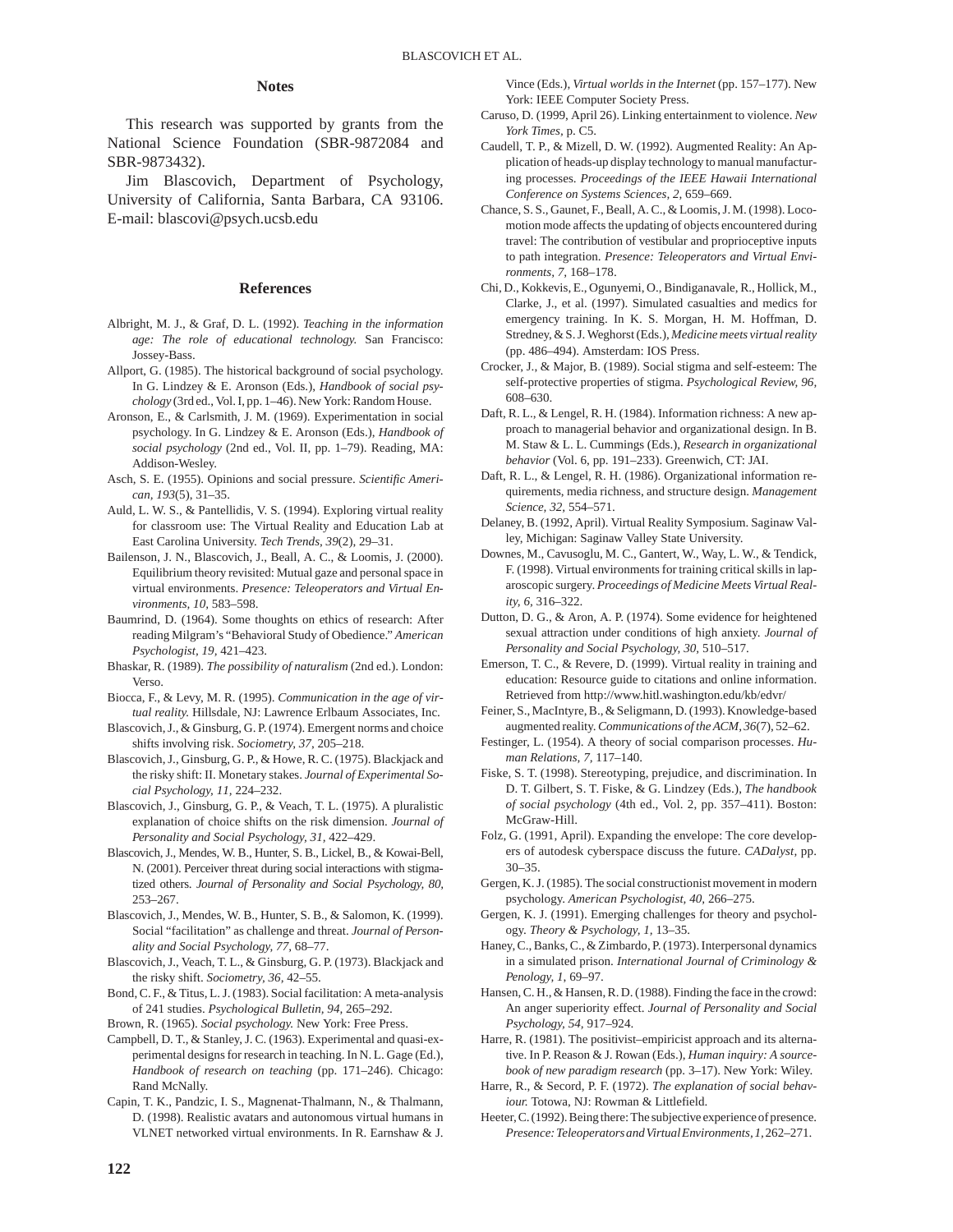### **Notes**

This research was supported by grants from the National Science Foundation (SBR-9872084 and SBR-9873432).

Jim Blascovich, Department of Psychology, University of California, Santa Barbara, CA 93106. E-mail: blascovi@psych.ucsb.edu

#### **References**

- Albright, M. J., & Graf, D. L. (1992). *Teaching in the information age: The role of educational technology.* San Francisco: Jossey-Bass.
- Allport, G. (1985). The historical background of social psychology. In G. Lindzey & E. Aronson (Eds.), *Handbook of social psychology* (3rd ed., Vol. I, pp. 1–46). New York: Random House.
- Aronson, E., & Carlsmith, J. M. (1969). Experimentation in social psychology. In G. Lindzey & E. Aronson (Eds.), *Handbook of social psychology* (2nd ed., Vol. II, pp. 1–79). Reading, MA: Addison-Wesley.
- Asch, S. E. (1955). Opinions and social pressure. *Scientific American, 193*(5), 31–35.
- Auld, L. W. S., & Pantellidis, V. S. (1994). Exploring virtual reality for classroom use: The Virtual Reality and Education Lab at East Carolina University. *Tech Trends, 39*(2), 29–31.
- Bailenson, J. N., Blascovich, J., Beall, A. C., & Loomis, J. (2000). Equilibrium theory revisited: Mutual gaze and personal space in virtual environments. *Presence: Teleoperators and Virtual Environments, 10,* 583–598.
- Baumrind, D. (1964). Some thoughts on ethics of research: After reading Milgram's "Behavioral Study of Obedience." *American Psychologist, 19,* 421–423.
- Bhaskar, R. (1989). *The possibility of naturalism* (2nd ed.). London: Verso.
- Biocca, F., & Levy, M. R. (1995). *Communication in the age of virtual reality.* Hillsdale, NJ: Lawrence Erlbaum Associates, Inc.
- Blascovich, J., & Ginsburg, G. P. (1974). Emergent norms and choice shifts involving risk. *Sociometry, 37*, 205–218.
- Blascovich, J., Ginsburg, G. P., & Howe, R. C. (1975). Blackjack and the risky shift: II. Monetary stakes. *Journal of Experimental Social Psychology, 11,* 224–232.
- Blascovich, J., Ginsburg, G. P., & Veach, T. L. (1975). A pluralistic explanation of choice shifts on the risk dimension. *Journal of Personality and Social Psychology, 31,* 422–429.
- Blascovich, J., Mendes, W. B., Hunter, S. B., Lickel, B., & Kowai-Bell, N. (2001). Perceiver threat during social interactions with stigmatized others. *Journal of Personality and Social Psychology, 80,* 253–267.
- Blascovich, J., Mendes, W. B., Hunter, S. B., & Salomon, K. (1999). Social "facilitation" as challenge and threat. *Journal of Personality and Social Psychology, 77,* 68–77.
- Blascovich, J., Veach, T. L., & Ginsburg, G. P. (1973). Blackjack and the risky shift. *Sociometry, 36,* 42–55.

Bond, C. F., & Titus, L. J. (1983). Social facilitation: A meta-analysis of 241 studies. *Psychological Bulletin, 94,* 265–292.

Brown, R. (1965). *Social psychology.* New York: Free Press.

- Campbell, D. T., & Stanley, J. C. (1963). Experimental and quasi-experimental designs for research in teaching. In N. L. Gage (Ed.), *Handbook of research on teaching* (pp. 171–246). Chicago: Rand McNally.
- Capin, T. K., Pandzic, I. S., Magnenat-Thalmann, N., & Thalmann, D. (1998). Realistic avatars and autonomous virtual humans in VLNET networked virtual environments. In R. Earnshaw & J.

Vince (Eds.), *Virtual worlds in the Internet* (pp. 157–177). New York: IEEE Computer Society Press.

- Caruso, D. (1999, April 26). Linking entertainment to violence. *New York Times,* p. C5.
- Caudell, T. P., & Mizell, D. W. (1992). Augmented Reality: An Application of heads-up display technology to manual manufacturing processes. *Proceedings of the IEEE Hawaii International Conference on Systems Sciences, 2,* 659–669.
- Chance, S. S., Gaunet, F., Beall, A. C., & Loomis, J. M. (1998). Locomotion mode affects the updating of objects encountered during travel: The contribution of vestibular and proprioceptive inputs to path integration. *Presence: Teleoperators and Virtual Environments, 7,* 168–178.
- Chi, D., Kokkevis, E., Ogunyemi, O., Bindiganavale, R., Hollick, M., Clarke, J., et al. (1997). Simulated casualties and medics for emergency training. In K. S. Morgan, H. M. Hoffman, D. Stredney, & S. J. Weghorst (Eds.), *Medicine meets virtual reality* (pp. 486–494). Amsterdam: IOS Press.
- Crocker, J., & Major, B. (1989). Social stigma and self-esteem: The self-protective properties of stigma. *Psychological Review, 96,* 608–630.
- Daft, R. L., & Lengel, R. H. (1984). Information richness: A new approach to managerial behavior and organizational design. In B. M. Staw & L. L. Cummings (Eds.), *Research in organizational behavior* (Vol. 6, pp. 191–233). Greenwich, CT: JAI.
- Daft, R. L., & Lengel, R. H. (1986). Organizational information requirements, media richness, and structure design. *Management Science, 32,* 554–571.
- Delaney, B. (1992, April). Virtual Reality Symposium. Saginaw Valley, Michigan: Saginaw Valley State University.
- Downes, M., Cavusoglu, M. C., Gantert, W., Way, L. W., & Tendick, F. (1998). Virtual environments for training critical skills in laparoscopic surgery. *Proceedings of Medicine Meets Virtual Reality, 6,* 316–322.
- Dutton, D. G., & Aron, A. P. (1974). Some evidence for heightened sexual attraction under conditions of high anxiety. *Journal of Personality and Social Psychology, 30,* 510–517.
- Emerson, T. C., & Revere, D. (1999). Virtual reality in training and education: Resource guide to citations and online information. Retrieved from http://www.hitl.washington.edu/kb/edvr/
- Feiner, S., MacIntyre, B., & Seligmann, D. (1993). Knowledge-based augmented reality.*Communications of the ACM, 36*(7), 52–62.
- Festinger, L. (1954). A theory of social comparison processes. *Human Relations, 7,* 117–140.
- Fiske, S. T. (1998). Stereotyping, prejudice, and discrimination. In D. T. Gilbert, S. T. Fiske, & G. Lindzey (Eds.), *The handbook of social psychology* (4th ed., Vol. 2, pp. 357–411). Boston: McGraw-Hill.
- Folz, G. (1991, April). Expanding the envelope: The core developers of autodesk cyberspace discuss the future. *CADalyst,* pp. 30–35.
- Gergen, K. J. (1985). The social constructionist movement in modern psychology. *American Psychologist, 40,* 266–275.
- Gergen, K. J. (1991). Emerging challenges for theory and psychology. *Theory & Psychology, 1,* 13–35.
- Haney, C., Banks, C., & Zimbardo, P. (1973). Interpersonal dynamics in a simulated prison. *International Journal of Criminology & Penology, 1*, 69–97.
- Hansen, C. H., & Hansen, R. D. (1988). Finding the face in the crowd: An anger superiority effect. *Journal of Personality and Social Psychology, 54,* 917–924.
- Harre, R. (1981). The positivist–empiricist approach and its alternative. In P. Reason & J. Rowan (Eds.), *Human inquiry: A sourcebook of new paradigm research* (pp. 3–17). New York: Wiley.
- Harre, R., & Secord, P. F. (1972). *The explanation of social behaviour.* Totowa, NJ: Rowman & Littlefield.
- Heeter, C. (1992). Being there: The subjective experience of presence. *Presence:TeleoperatorsandVirtualEnvironments,1,*262–271.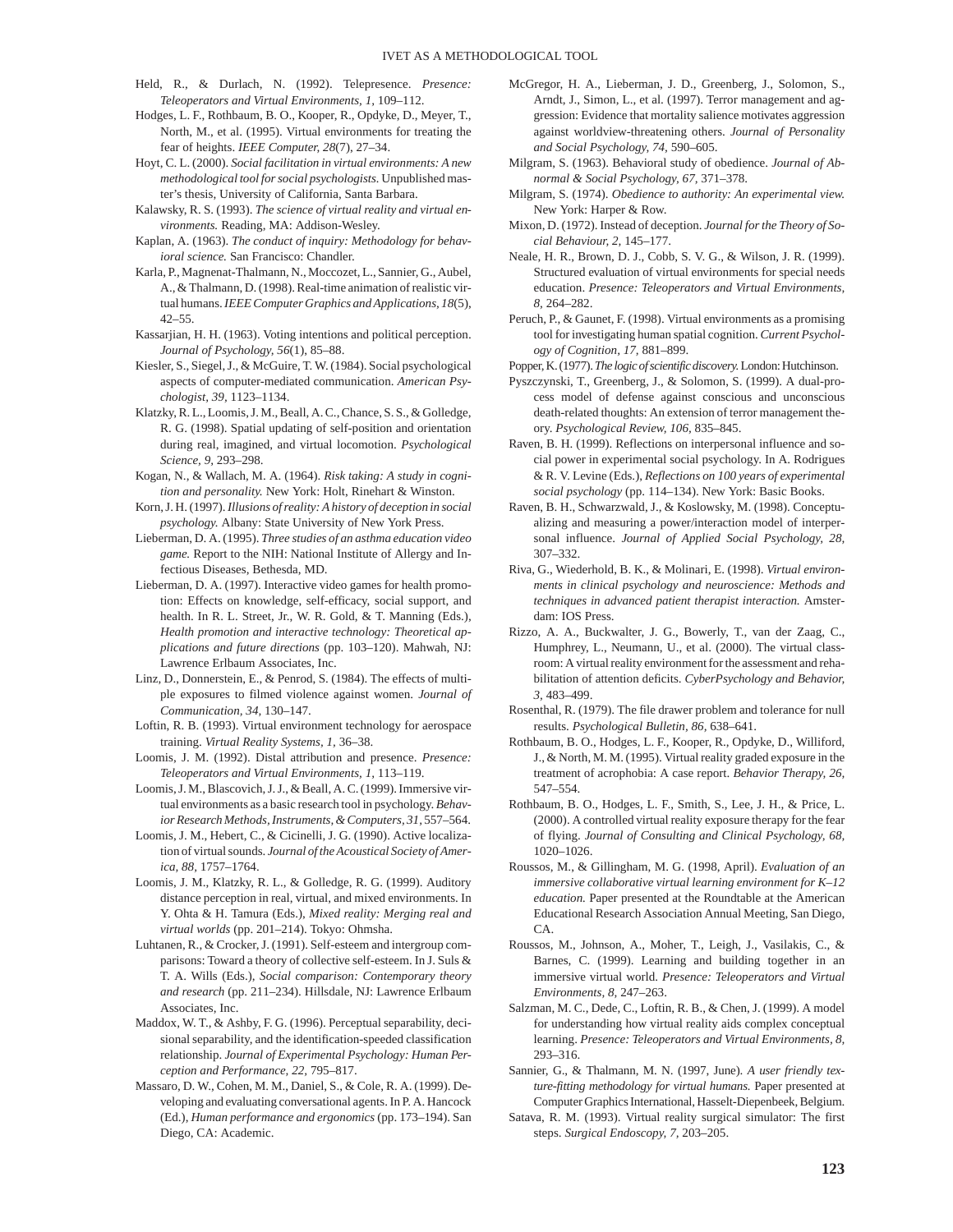- Held, R., & Durlach, N. (1992). Telepresence. *Presence: Teleoperators and Virtual Environments, 1,* 109–112.
- Hodges, L. F., Rothbaum, B. O., Kooper, R., Opdyke, D., Meyer, T., North, M., et al. (1995). Virtual environments for treating the fear of heights. *IEEE Computer, 28*(7), 27–34.
- Hoyt, C. L. (2000). *Social facilitation in virtual environments: A new methodological tool for social psychologists.* Unpublished master's thesis, University of California, Santa Barbara.
- Kalawsky, R. S. (1993). *The science of virtual reality and virtual environments.* Reading, MA: Addison-Wesley.
- Kaplan, A. (1963). *The conduct of inquiry: Methodology for behavioral science.* San Francisco: Chandler.
- Karla, P., Magnenat-Thalmann, N., Moccozet, L., Sannier, G., Aubel, A., & Thalmann, D. (1998). Real-time animation of realistic virtual humans.*IEEE Computer Graphics and Applications, 18*(5), 42–55.
- Kassarjian, H. H. (1963). Voting intentions and political perception. *Journal of Psychology, 56*(1), 85–88.
- Kiesler, S., Siegel, J., & McGuire, T. W. (1984). Social psychological aspects of computer-mediated communication. *American Psychologist, 39,* 1123–1134.
- Klatzky, R. L., Loomis, J. M., Beall, A. C., Chance, S. S., & Golledge, R. G. (1998). Spatial updating of self-position and orientation during real, imagined, and virtual locomotion. *Psychological Science, 9,* 293–298.
- Kogan, N., & Wallach, M. A. (1964). *Risk taking: A study in cognition and personality.* New York: Holt, Rinehart & Winston.
- Korn, J. H. (1997).*Illusions of reality: A history of deception in social psychology.* Albany: State University of New York Press.
- Lieberman, D. A. (1995). *Three studies of an asthma education video game.* Report to the NIH: National Institute of Allergy and Infectious Diseases, Bethesda, MD.
- Lieberman, D. A. (1997). Interactive video games for health promotion: Effects on knowledge, self-efficacy, social support, and health. In R. L. Street, Jr., W. R. Gold, & T. Manning (Eds.), *Health promotion and interactive technology: Theoretical applications and future directions* (pp. 103–120). Mahwah, NJ: Lawrence Erlbaum Associates, Inc.
- Linz, D., Donnerstein, E., & Penrod, S. (1984). The effects of multiple exposures to filmed violence against women. *Journal of Communication, 34,* 130–147.
- Loftin, R. B. (1993). Virtual environment technology for aerospace training. *Virtual Reality Systems, 1,* 36–38.
- Loomis, J. M. (1992). Distal attribution and presence. *Presence: Teleoperators and Virtual Environments, 1,* 113–119.
- Loomis, J. M., Blascovich, J. J., & Beall, A. C. (1999). Immersive virtual environments as a basic research tool in psychology. *Behavior Research Methods, Instruments, & Computers, 31,* 557–564.
- Loomis, J. M., Hebert, C., & Cicinelli, J. G. (1990). Active localization of virtual sounds. *Journal of the Acoustical Society of America, 88,* 1757–1764.
- Loomis, J. M., Klatzky, R. L., & Golledge, R. G. (1999). Auditory distance perception in real, virtual, and mixed environments. In Y. Ohta & H. Tamura (Eds.), *Mixed reality: Merging real and virtual worlds* (pp. 201–214). Tokyo: Ohmsha.
- Luhtanen, R., & Crocker, J. (1991). Self-esteem and intergroup comparisons: Toward a theory of collective self-esteem. In J. Suls & T. A. Wills (Eds.), *Social comparison: Contemporary theory and research* (pp. 211–234). Hillsdale, NJ: Lawrence Erlbaum Associates, Inc.
- Maddox, W. T., & Ashby, F. G. (1996). Perceptual separability, decisional separability, and the identification-speeded classification relationship. *Journal of Experimental Psychology: Human Perception and Performance, 22,* 795–817.
- Massaro, D. W., Cohen, M. M., Daniel, S., & Cole, R. A. (1999). Developing and evaluating conversational agents. In P. A. Hancock (Ed.), *Human performance and ergonomics* (pp. 173–194). San Diego, CA: Academic.
- McGregor, H. A., Lieberman, J. D., Greenberg, J., Solomon, S., Arndt, J., Simon, L., et al. (1997). Terror management and aggression: Evidence that mortality salience motivates aggression against worldview-threatening others. *Journal of Personality and Social Psychology, 74,* 590–605.
- Milgram, S. (1963). Behavioral study of obedience. *Journal of Abnormal & Social Psychology, 67,* 371–378.
- Milgram, S. (1974). *Obedience to authority: An experimental view.* New York: Harper & Row.
- Mixon, D. (1972). Instead of deception. *Journal for the Theory of Social Behaviour, 2,* 145–177.
- Neale, H. R., Brown, D. J., Cobb, S. V. G., & Wilson, J. R. (1999). Structured evaluation of virtual environments for special needs education. *Presence: Teleoperators and Virtual Environments, 8,* 264–282.
- Peruch, P., & Gaunet, F. (1998). Virtual environments as a promising tool for investigating human spatial cognition. *Current Psychology of Cognition, 17,* 881–899.
- Popper, K. (1977). *The logic of scientific discovery.* London: Hutchinson.
- Pyszczynski, T., Greenberg, J., & Solomon, S. (1999). A dual-process model of defense against conscious and unconscious death-related thoughts: An extension of terror management theory. *Psychological Review, 106,* 835–845.
- Raven, B. H. (1999). Reflections on interpersonal influence and social power in experimental social psychology. In A. Rodrigues & R. V. Levine (Eds.), *Reflections on 100 years of experimental social psychology* (pp. 114–134). New York: Basic Books.
- Raven, B. H., Schwarzwald, J., & Koslowsky, M. (1998). Conceptualizing and measuring a power/interaction model of interpersonal influence. *Journal of Applied Social Psychology, 28,* 307–332.
- Riva, G., Wiederhold, B. K., & Molinari, E. (1998). *Virtual environments in clinical psychology and neuroscience: Methods and techniques in advanced patient therapist interaction.* Amsterdam: IOS Press.
- Rizzo, A. A., Buckwalter, J. G., Bowerly, T., van der Zaag, C., Humphrey, L., Neumann, U., et al. (2000). The virtual classroom: A virtual reality environment for the assessment and rehabilitation of attention deficits. *CyberPsychology and Behavior, 3,* 483–499.
- Rosenthal, R. (1979). The file drawer problem and tolerance for null results. *Psychological Bulletin, 86,* 638–641.
- Rothbaum, B. O., Hodges, L. F., Kooper, R., Opdyke, D., Williford, J., & North, M. M. (1995). Virtual reality graded exposure in the treatment of acrophobia: A case report. *Behavior Therapy, 26,* 547–554.
- Rothbaum, B. O., Hodges, L. F., Smith, S., Lee, J. H., & Price, L. (2000). A controlled virtual reality exposure therapy for the fear of flying. *Journal of Consulting and Clinical Psychology, 68,* 1020–1026.
- Roussos, M., & Gillingham, M. G. (1998, April). *Evaluation of an immersive collaborative virtual learning environment for K–12 education.* Paper presented at the Roundtable at the American Educational Research Association Annual Meeting, San Diego, CA.
- Roussos, M., Johnson, A., Moher, T., Leigh, J., Vasilakis, C., & Barnes, C. (1999). Learning and building together in an immersive virtual world. *Presence: Teleoperators and Virtual Environments, 8,* 247–263.
- Salzman, M. C., Dede, C., Loftin, R. B., & Chen, J. (1999). A model for understanding how virtual reality aids complex conceptual learning. *Presence: Teleoperators and Virtual Environments, 8,* 293–316.
- Sannier, G., & Thalmann, M. N. (1997, June). *A user friendly texture-fitting methodology for virtual humans.* Paper presented at Computer Graphics International, Hasselt-Diepenbeek, Belgium.
- Satava, R. M. (1993). Virtual reality surgical simulator: The first steps. *Surgical Endoscopy, 7,* 203–205.